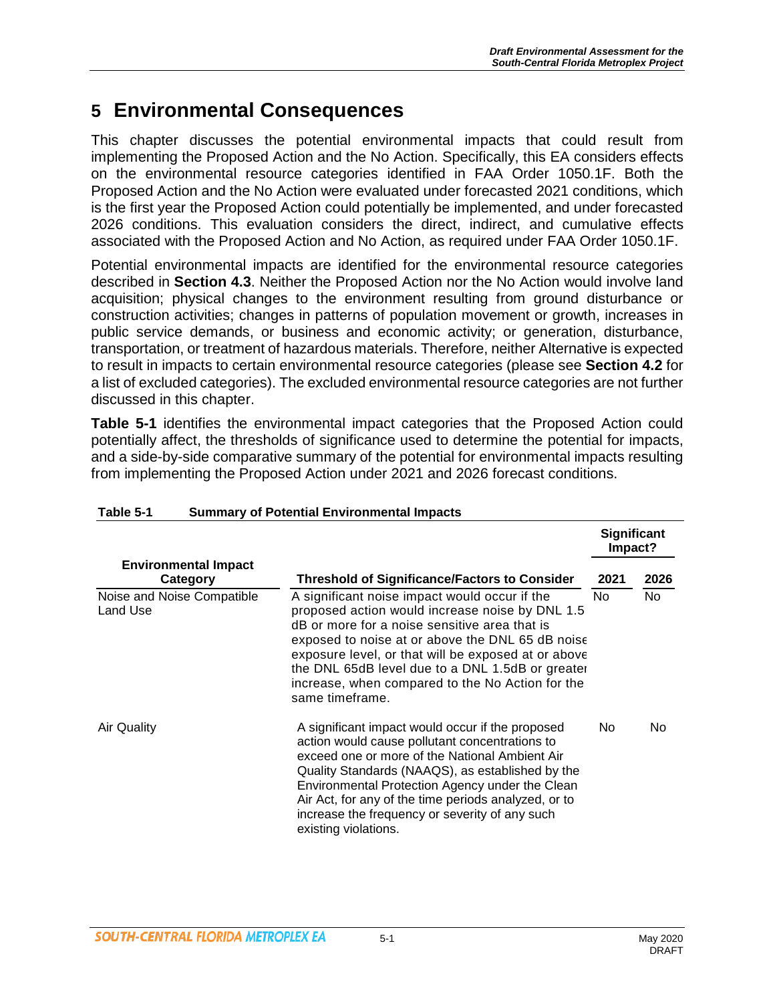# **5 Environmental Consequences**

This chapter discusses the potential environmental impacts that could result from implementing the Proposed Action and the No Action. Specifically, this EA considers effects on the environmental resource categories identified in FAA Order 1050.1F. Both the Proposed Action and the No Action were evaluated under forecasted 2021 conditions, which is the first year the Proposed Action could potentially be implemented, and under forecasted 2026 conditions. This evaluation considers the direct, indirect, and cumulative effects associated with the Proposed Action and No Action, as required under FAA Order 1050.1F.

Potential environmental impacts are identified for the environmental resource categories described in **Section 4.3**. Neither the Proposed Action nor the No Action would involve land acquisition; physical changes to the environment resulting from ground disturbance or construction activities; changes in patterns of population movement or growth, increases in public service demands, or business and economic activity; or generation, disturbance, transportation, or treatment of hazardous materials. Therefore, neither Alternative is expected to result in impacts to certain environmental resource categories (please see **Section 4.2** for a list of excluded categories). The excluded environmental resource categories are not further discussed in this chapter.

**Table 5-1** identifies the environmental impact categories that the Proposed Action could potentially affect, the thresholds of significance used to determine the potential for impacts, and a side-by-side comparative summary of the potential for environmental impacts resulting from implementing the Proposed Action under 2021 and 2026 forecast conditions.

|                                         |                                                                                                                                                                                                                                                                                                                                                                                               | <b>Significant</b><br>Impact? |      |
|-----------------------------------------|-----------------------------------------------------------------------------------------------------------------------------------------------------------------------------------------------------------------------------------------------------------------------------------------------------------------------------------------------------------------------------------------------|-------------------------------|------|
| <b>Environmental Impact</b><br>Category | <b>Threshold of Significance/Factors to Consider</b>                                                                                                                                                                                                                                                                                                                                          | 2021                          | 2026 |
| Noise and Noise Compatible<br>Land Use  | A significant noise impact would occur if the<br>proposed action would increase noise by DNL 1.5<br>dB or more for a noise sensitive area that is<br>exposed to noise at or above the DNL 65 dB noise<br>exposure level, or that will be exposed at or above<br>the DNL 65dB level due to a DNL 1.5dB or greater<br>increase, when compared to the No Action for the<br>same timeframe.       | No.                           | No   |
| Air Quality                             | A significant impact would occur if the proposed<br>action would cause pollutant concentrations to<br>exceed one or more of the National Ambient Air<br>Quality Standards (NAAQS), as established by the<br>Environmental Protection Agency under the Clean<br>Air Act, for any of the time periods analyzed, or to<br>increase the frequency or severity of any such<br>existing violations. | No.                           | No.  |

#### **Table 5-1 Summary of Potential Environmental Impacts**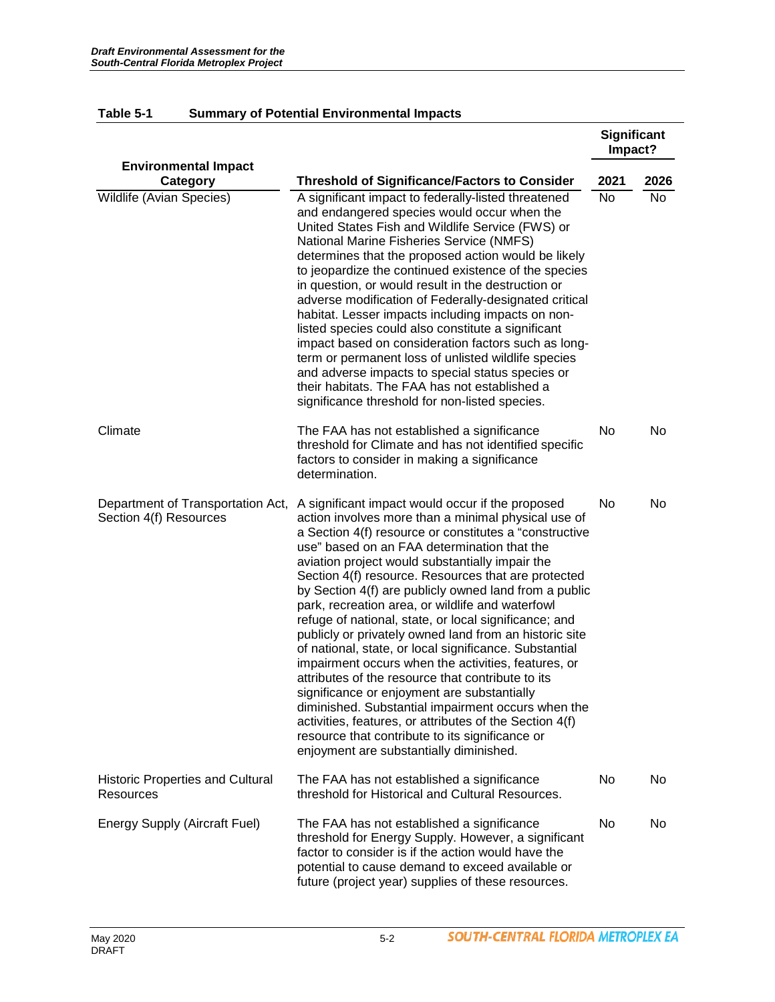|                                                             |                                                                                                                                                                                                                                                                                                                                                                                                                                                                                                                                                                                                                                                                                                                                                                                                                                                                                                                                                                                                | <b>Significant</b><br>Impact? |      |
|-------------------------------------------------------------|------------------------------------------------------------------------------------------------------------------------------------------------------------------------------------------------------------------------------------------------------------------------------------------------------------------------------------------------------------------------------------------------------------------------------------------------------------------------------------------------------------------------------------------------------------------------------------------------------------------------------------------------------------------------------------------------------------------------------------------------------------------------------------------------------------------------------------------------------------------------------------------------------------------------------------------------------------------------------------------------|-------------------------------|------|
| <b>Environmental Impact</b><br>Category                     | <b>Threshold of Significance/Factors to Consider</b>                                                                                                                                                                                                                                                                                                                                                                                                                                                                                                                                                                                                                                                                                                                                                                                                                                                                                                                                           | 2021                          | 2026 |
| Wildlife (Avian Species)                                    | A significant impact to federally-listed threatened<br>and endangered species would occur when the<br>United States Fish and Wildlife Service (FWS) or<br>National Marine Fisheries Service (NMFS)<br>determines that the proposed action would be likely<br>to jeopardize the continued existence of the species<br>in question, or would result in the destruction or<br>adverse modification of Federally-designated critical<br>habitat. Lesser impacts including impacts on non-<br>listed species could also constitute a significant<br>impact based on consideration factors such as long-<br>term or permanent loss of unlisted wildlife species<br>and adverse impacts to special status species or<br>their habitats. The FAA has not established a<br>significance threshold for non-listed species.                                                                                                                                                                               | No                            | No   |
| Climate                                                     | The FAA has not established a significance<br>threshold for Climate and has not identified specific<br>factors to consider in making a significance<br>determination.                                                                                                                                                                                                                                                                                                                                                                                                                                                                                                                                                                                                                                                                                                                                                                                                                          | No                            | No.  |
| Department of Transportation Act,<br>Section 4(f) Resources | A significant impact would occur if the proposed<br>action involves more than a minimal physical use of<br>a Section 4(f) resource or constitutes a "constructive<br>use" based on an FAA determination that the<br>aviation project would substantially impair the<br>Section 4(f) resource. Resources that are protected<br>by Section 4(f) are publicly owned land from a public<br>park, recreation area, or wildlife and waterfowl<br>refuge of national, state, or local significance; and<br>publicly or privately owned land from an historic site<br>of national, state, or local significance. Substantial<br>impairment occurs when the activities, features, or<br>attributes of the resource that contribute to its<br>significance or enjoyment are substantially<br>diminished. Substantial impairment occurs when the<br>activities, features, or attributes of the Section 4(f)<br>resource that contribute to its significance or<br>enjoyment are substantially diminished. | No                            | No   |
| <b>Historic Properties and Cultural</b><br>Resources        | The FAA has not established a significance<br>threshold for Historical and Cultural Resources.                                                                                                                                                                                                                                                                                                                                                                                                                                                                                                                                                                                                                                                                                                                                                                                                                                                                                                 | No                            | No   |
| <b>Energy Supply (Aircraft Fuel)</b>                        | The FAA has not established a significance<br>threshold for Energy Supply. However, a significant<br>factor to consider is if the action would have the<br>potential to cause demand to exceed available or<br>future (project year) supplies of these resources.                                                                                                                                                                                                                                                                                                                                                                                                                                                                                                                                                                                                                                                                                                                              | No                            | No   |

#### **Table 5-1 Summary of Potential Environmental Impacts**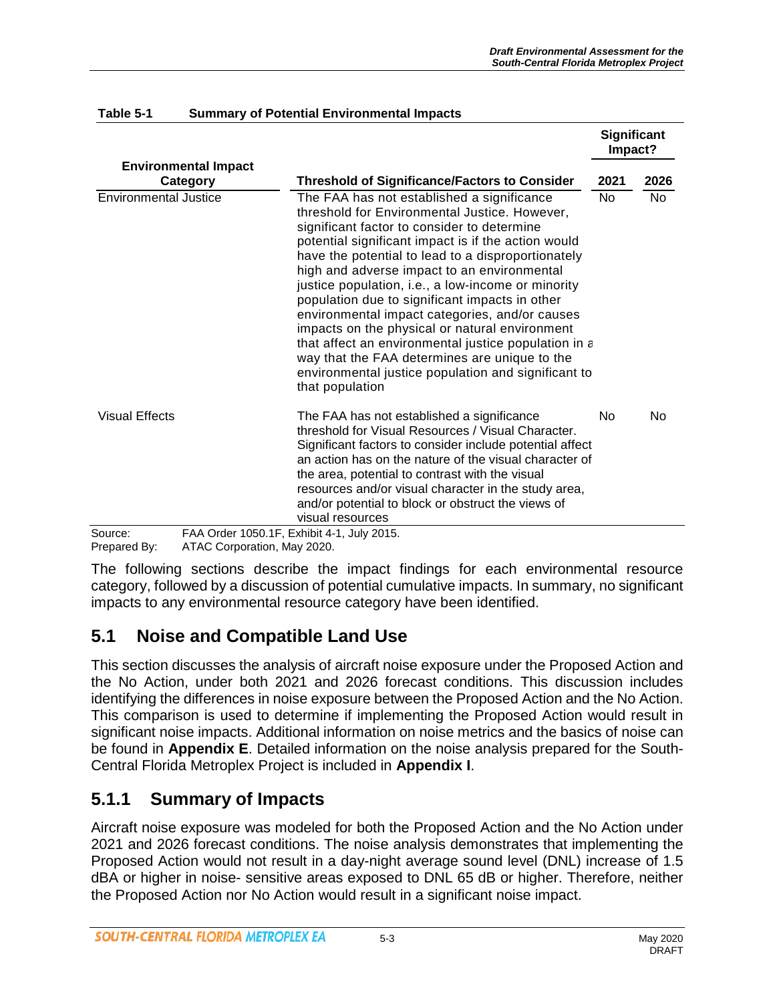|                                         |                                                                                                                                                                                                                                                                                                                                                                                                                                                                                                                                                                                                                                                                                                       | <b>Significant</b><br>Impact? |      |
|-----------------------------------------|-------------------------------------------------------------------------------------------------------------------------------------------------------------------------------------------------------------------------------------------------------------------------------------------------------------------------------------------------------------------------------------------------------------------------------------------------------------------------------------------------------------------------------------------------------------------------------------------------------------------------------------------------------------------------------------------------------|-------------------------------|------|
| <b>Environmental Impact</b><br>Category | <b>Threshold of Significance/Factors to Consider</b>                                                                                                                                                                                                                                                                                                                                                                                                                                                                                                                                                                                                                                                  | 2021                          | 2026 |
| Environmental Justice                   | The FAA has not established a significance<br>threshold for Environmental Justice. However,<br>significant factor to consider to determine<br>potential significant impact is if the action would<br>have the potential to lead to a disproportionately<br>high and adverse impact to an environmental<br>justice population, i.e., a low-income or minority<br>population due to significant impacts in other<br>environmental impact categories, and/or causes<br>impacts on the physical or natural environment<br>that affect an environmental justice population in a<br>way that the FAA determines are unique to the<br>environmental justice population and significant to<br>that population | <b>No</b>                     | No.  |
| <b>Visual Effects</b>                   | The FAA has not established a significance<br>threshold for Visual Resources / Visual Character.<br>Significant factors to consider include potential affect<br>an action has on the nature of the visual character of<br>the area, potential to contrast with the visual<br>resources and/or visual character in the study area,<br>and/or potential to block or obstruct the views of<br>visual resources                                                                                                                                                                                                                                                                                           | No                            | No   |
| Source:                                 | FAA Order 1050.1F, Exhibit 4-1, July 2015.                                                                                                                                                                                                                                                                                                                                                                                                                                                                                                                                                                                                                                                            |                               |      |

#### **Table 5-1 Summary of Potential Environmental Impacts**

Prepared By: ATAC Corporation, May 2020.

The following sections describe the impact findings for each environmental resource category, followed by a discussion of potential cumulative impacts. In summary, no significant impacts to any environmental resource category have been identified.

### **5.1 Noise and Compatible Land Use**

This section discusses the analysis of aircraft noise exposure under the Proposed Action and the No Action, under both 2021 and 2026 forecast conditions. This discussion includes identifying the differences in noise exposure between the Proposed Action and the No Action. This comparison is used to determine if implementing the Proposed Action would result in significant noise impacts. Additional information on noise metrics and the basics of noise can be found in **Appendix E**. Detailed information on the noise analysis prepared for the South-Central Florida Metroplex Project is included in **Appendix I**.

### **5.1.1 Summary of Impacts**

Aircraft noise exposure was modeled for both the Proposed Action and the No Action under 2021 and 2026 forecast conditions. The noise analysis demonstrates that implementing the Proposed Action would not result in a day-night average sound level (DNL) increase of 1.5 dBA or higher in noise- sensitive areas exposed to DNL 65 dB or higher. Therefore, neither the Proposed Action nor No Action would result in a significant noise impact.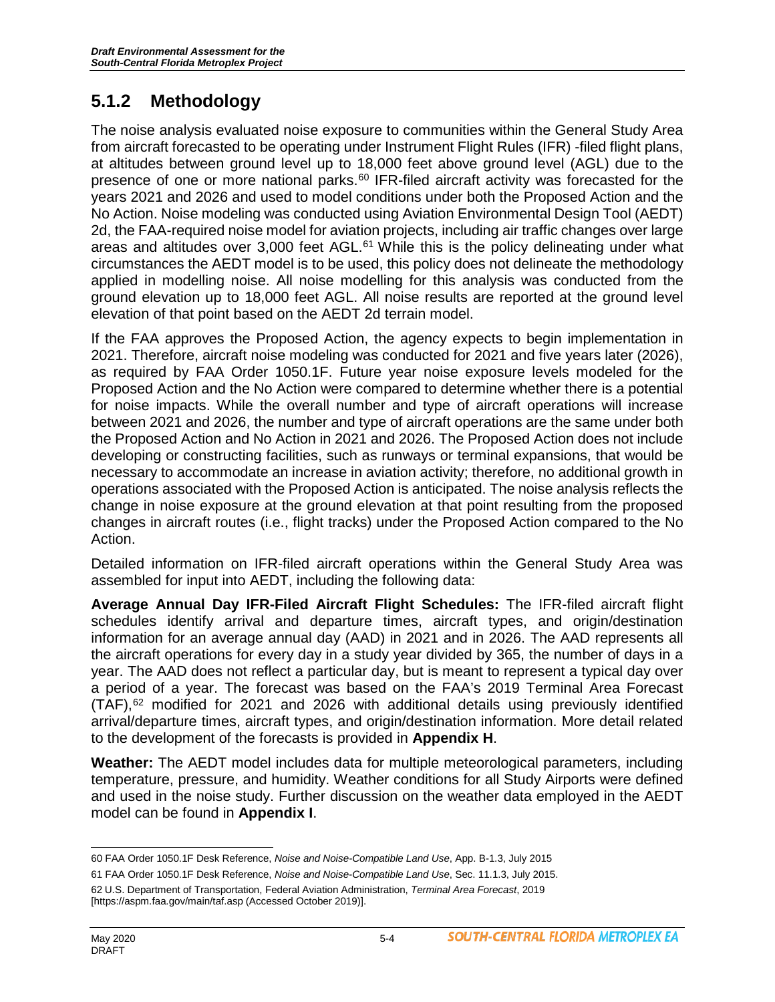# **5.1.2 Methodology**

The noise analysis evaluated noise exposure to communities within the General Study Area from aircraft forecasted to be operating under Instrument Flight Rules (IFR) -filed flight plans, at altitudes between ground level up to 18,000 feet above ground level (AGL) due to the presence of one or more national parks. $60$  IFR-filed aircraft activity was forecasted for the years 2021 and 2026 and used to model conditions under both the Proposed Action and the No Action. Noise modeling was conducted using Aviation Environmental Design Tool (AEDT) 2d, the FAA-required noise model for aviation projects, including air traffic changes over large areas and altitudes over  $3,000$  feet AGL. $61$  While this is the policy delineating under what circumstances the AEDT model is to be used, this policy does not delineate the methodology applied in modelling noise. All noise modelling for this analysis was conducted from the ground elevation up to 18,000 feet AGL. All noise results are reported at the ground level elevation of that point based on the AEDT 2d terrain model.

If the FAA approves the Proposed Action, the agency expects to begin implementation in 2021. Therefore, aircraft noise modeling was conducted for 2021 and five years later (2026), as required by FAA Order 1050.1F. Future year noise exposure levels modeled for the Proposed Action and the No Action were compared to determine whether there is a potential for noise impacts. While the overall number and type of aircraft operations will increase between 2021 and 2026, the number and type of aircraft operations are the same under both the Proposed Action and No Action in 2021 and 2026. The Proposed Action does not include developing or constructing facilities, such as runways or terminal expansions, that would be necessary to accommodate an increase in aviation activity; therefore, no additional growth in operations associated with the Proposed Action is anticipated. The noise analysis reflects the change in noise exposure at the ground elevation at that point resulting from the proposed changes in aircraft routes (i.e., flight tracks) under the Proposed Action compared to the No Action.

Detailed information on IFR-filed aircraft operations within the General Study Area was assembled for input into AEDT, including the following data:

**Average Annual Day IFR-Filed Aircraft Flight Schedules:** The IFR-filed aircraft flight schedules identify arrival and departure times, aircraft types, and origin/destination information for an average annual day (AAD) in 2021 and in 2026. The AAD represents all the aircraft operations for every day in a study year divided by 365, the number of days in a year. The AAD does not reflect a particular day, but is meant to represent a typical day over a period of a year. The forecast was based on the FAA's 2019 Terminal Area Forecast  $(TAF)$ ,<sup>[62](#page-3-2)</sup> modified for 2021 and 2026 with additional details using previously identified arrival/departure times, aircraft types, and origin/destination information. More detail related to the development of the forecasts is provided in **Appendix H**.

**Weather:** The AEDT model includes data for multiple meteorological parameters, including temperature, pressure, and humidity. Weather conditions for all Study Airports were defined and used in the noise study. Further discussion on the weather data employed in the AEDT model can be found in **Appendix I**.

<span id="page-3-0"></span><sup>60</sup> FAA Order 1050.1F Desk Reference, *Noise and Noise-Compatible Land Use*, App. B-1.3, July 2015

<span id="page-3-1"></span><sup>61</sup> FAA Order 1050.1F Desk Reference, *Noise and Noise-Compatible Land Use*, Sec. 11.1.3, July 2015. 62 U.S. Department of Transportation, Federal Aviation Administration, *Terminal Area Forecast*, 2019

<span id="page-3-2"></span><sup>[</sup>https://aspm.faa.gov/main/taf.asp (Accessed October 2019)].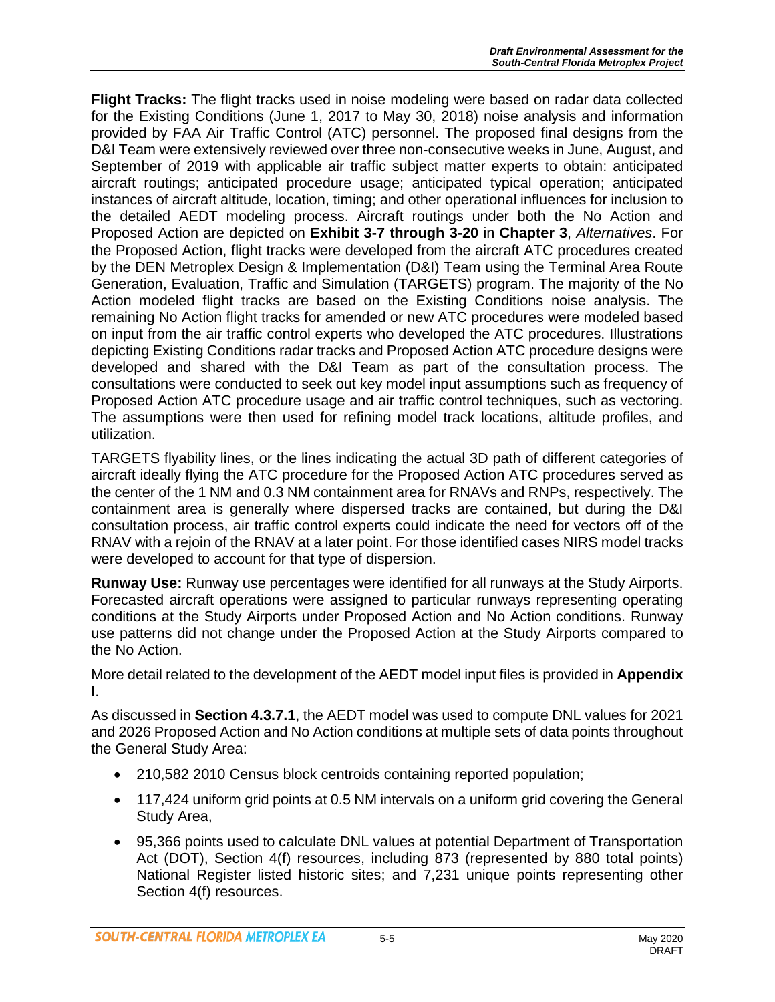**Flight Tracks:** The flight tracks used in noise modeling were based on radar data collected for the Existing Conditions (June 1, 2017 to May 30, 2018) noise analysis and information provided by FAA Air Traffic Control (ATC) personnel. The proposed final designs from the D&I Team were extensively reviewed over three non-consecutive weeks in June, August, and September of 2019 with applicable air traffic subject matter experts to obtain: anticipated aircraft routings; anticipated procedure usage; anticipated typical operation; anticipated instances of aircraft altitude, location, timing; and other operational influences for inclusion to the detailed AEDT modeling process. Aircraft routings under both the No Action and Proposed Action are depicted on **Exhibit 3-7 through 3-20** in **Chapter 3**, *Alternatives*. For the Proposed Action, flight tracks were developed from the aircraft ATC procedures created by the DEN Metroplex Design & Implementation (D&I) Team using the Terminal Area Route Generation, Evaluation, Traffic and Simulation (TARGETS) program. The majority of the No Action modeled flight tracks are based on the Existing Conditions noise analysis. The remaining No Action flight tracks for amended or new ATC procedures were modeled based on input from the air traffic control experts who developed the ATC procedures. Illustrations depicting Existing Conditions radar tracks and Proposed Action ATC procedure designs were developed and shared with the D&I Team as part of the consultation process. The consultations were conducted to seek out key model input assumptions such as frequency of Proposed Action ATC procedure usage and air traffic control techniques, such as vectoring. The assumptions were then used for refining model track locations, altitude profiles, and utilization.

TARGETS flyability lines, or the lines indicating the actual 3D path of different categories of aircraft ideally flying the ATC procedure for the Proposed Action ATC procedures served as the center of the 1 NM and 0.3 NM containment area for RNAVs and RNPs, respectively. The containment area is generally where dispersed tracks are contained, but during the D&I consultation process, air traffic control experts could indicate the need for vectors off of the RNAV with a rejoin of the RNAV at a later point. For those identified cases NIRS model tracks were developed to account for that type of dispersion.

**Runway Use:** Runway use percentages were identified for all runways at the Study Airports. Forecasted aircraft operations were assigned to particular runways representing operating conditions at the Study Airports under Proposed Action and No Action conditions. Runway use patterns did not change under the Proposed Action at the Study Airports compared to the No Action.

More detail related to the development of the AEDT model input files is provided in **Appendix I**.

As discussed in **Section 4.3.7.1**, the AEDT model was used to compute DNL values for 2021 and 2026 Proposed Action and No Action conditions at multiple sets of data points throughout the General Study Area:

- 210,582 2010 Census block centroids containing reported population;
- 117,424 uniform grid points at 0.5 NM intervals on a uniform grid covering the General Study Area,
- 95,366 points used to calculate DNL values at potential Department of Transportation Act (DOT), Section 4(f) resources, including 873 (represented by 880 total points) National Register listed historic sites; and 7,231 unique points representing other Section 4(f) resources.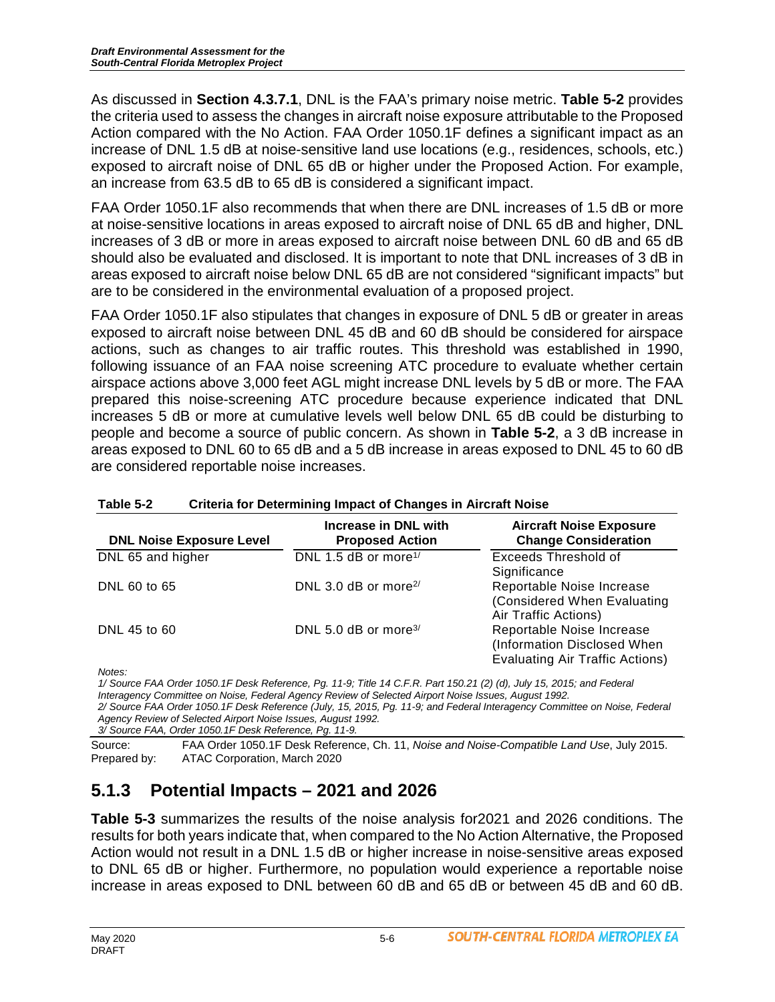As discussed in **Section 4.3.7.1**, DNL is the FAA's primary noise metric. **Table 5-2** provides the criteria used to assess the changes in aircraft noise exposure attributable to the Proposed Action compared with the No Action. FAA Order 1050.1F defines a significant impact as an increase of DNL 1.5 dB at noise-sensitive land use locations (e.g., residences, schools, etc.) exposed to aircraft noise of DNL 65 dB or higher under the Proposed Action. For example, an increase from 63.5 dB to 65 dB is considered a significant impact.

FAA Order 1050.1F also recommends that when there are DNL increases of 1.5 dB or more at noise-sensitive locations in areas exposed to aircraft noise of DNL 65 dB and higher, DNL increases of 3 dB or more in areas exposed to aircraft noise between DNL 60 dB and 65 dB should also be evaluated and disclosed. It is important to note that DNL increases of 3 dB in areas exposed to aircraft noise below DNL 65 dB are not considered "significant impacts" but are to be considered in the environmental evaluation of a proposed project.

FAA Order 1050.1F also stipulates that changes in exposure of DNL 5 dB or greater in areas exposed to aircraft noise between DNL 45 dB and 60 dB should be considered for airspace actions, such as changes to air traffic routes. This threshold was established in 1990, following issuance of an FAA noise screening ATC procedure to evaluate whether certain airspace actions above 3,000 feet AGL might increase DNL levels by 5 dB or more. The FAA prepared this noise-screening ATC procedure because experience indicated that DNL increases 5 dB or more at cumulative levels well below DNL 65 dB could be disturbing to people and become a source of public concern. As shown in **Table 5-2**, a 3 dB increase in areas exposed to DNL 60 to 65 dB and a 5 dB increase in areas exposed to DNL 45 to 60 dB are considered reportable noise increases.

| <b>DNL Noise Exposure Level</b> | Increase in DNL with<br><b>Proposed Action</b> | <b>Aircraft Noise Exposure</b><br><b>Change Consideration</b>                                      |
|---------------------------------|------------------------------------------------|----------------------------------------------------------------------------------------------------|
| DNL 65 and higher               | DNL 1.5 dB or more <sup>1/</sup>               | Exceeds Threshold of<br>Significance                                                               |
| DNL 60 to 65                    | DNL 3.0 dB or more <sup>2/</sup>               | Reportable Noise Increase<br>(Considered When Evaluating<br>Air Traffic Actions)                   |
| DNL 45 to 60                    | DNL 5.0 dB or more <sup>3/</sup>               | Reportable Noise Increase<br>(Information Disclosed When<br><b>Evaluating Air Traffic Actions)</b> |

#### **Table 5-2 Criteria for Determining Impact of Changes in Aircraft Noise**

*Notes:*

*1/ Source FAA Order 1050.1F Desk Reference, Pg. 11-9; Title 14 C.F.R. Part 150.21 (2) (d), July 15, 2015; and Federal Interagency Committee on Noise, Federal Agency Review of Selected Airport Noise Issues, August 1992. 2/ Source FAA Order 1050.1F Desk Reference (July, 15, 2015, Pg. 11-9; and Federal Interagency Committee on Noise, Federal Agency Review of Selected Airport Noise Issues, August 1992.*

*3/ Source FAA, Order 1050.1F Desk Reference, Pg. 11-9.*

Source: FAA Order 1050.1F Desk Reference, Ch. 11, *Noise and Noise-Compatible Land Use*, July 2015. Prepared by: ATAC Corporation, March 2020

# **5.1.3 Potential Impacts – 2021 and 2026**

**Table 5-3** summarizes the results of the noise analysis for2021 and 2026 conditions. The results for both years indicate that, when compared to the No Action Alternative, the Proposed Action would not result in a DNL 1.5 dB or higher increase in noise-sensitive areas exposed to DNL 65 dB or higher. Furthermore, no population would experience a reportable noise increase in areas exposed to DNL between 60 dB and 65 dB or between 45 dB and 60 dB.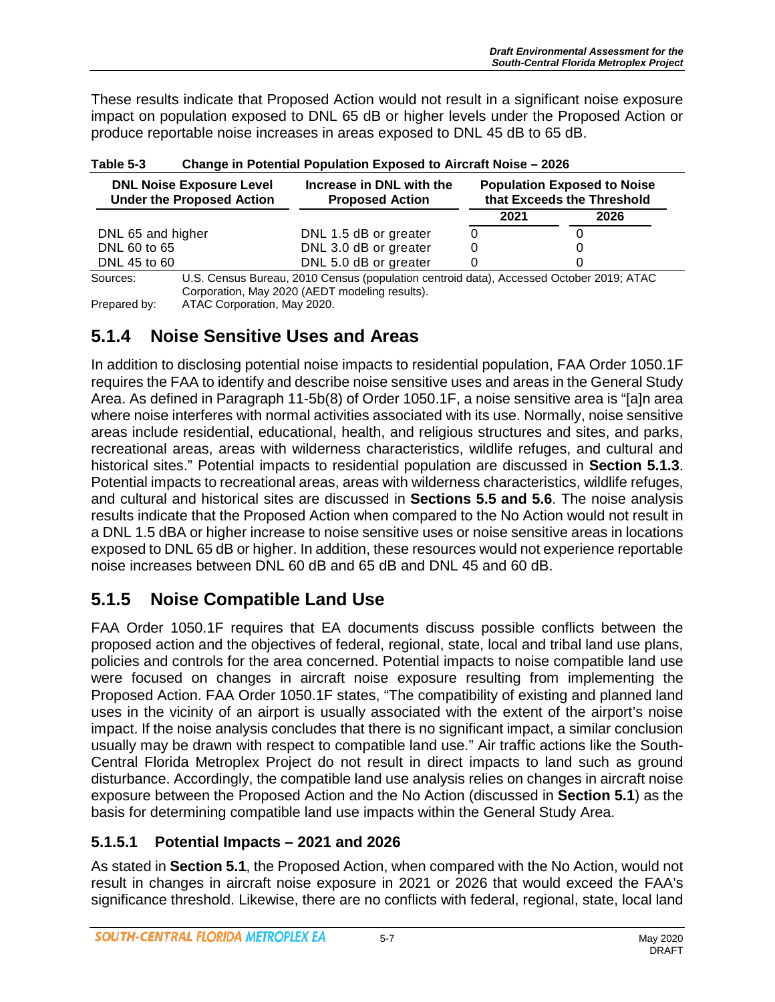These results indicate that Proposed Action would not result in a significant noise exposure impact on population exposed to DNL 65 dB or higher levels under the Proposed Action or produce reportable noise increases in areas exposed to DNL 45 dB to 65 dB.

| <b>DNL Noise Exposure Level</b><br><b>Under the Proposed Action</b> | Increase in DNL with the<br><b>Proposed Action</b> | <b>Population Exposed to Noise</b><br>that Exceeds the Threshold |      |
|---------------------------------------------------------------------|----------------------------------------------------|------------------------------------------------------------------|------|
|                                                                     |                                                    | 2021                                                             | 2026 |
| DNL 65 and higher                                                   | DNL 1.5 dB or greater                              |                                                                  |      |
| DNL 60 to 65                                                        | DNL 3.0 dB or greater                              |                                                                  |      |
| DNL 45 to 60                                                        | DNL 5.0 dB or greater                              |                                                                  |      |

| Table 5-3 | <b>Change in Potential Population Exposed to Aircraft Noise - 2026</b> |
|-----------|------------------------------------------------------------------------|
|           |                                                                        |

Sources: U.S. Census Bureau, 2010 Census (population centroid data), Accessed October 2019; ATAC Corporation, May 2020 (AEDT modeling results). Prepared by: ATAC Corporation, May 2020.

#### **5.1.4 Noise Sensitive Uses and Areas**

In addition to disclosing potential noise impacts to residential population, FAA Order 1050.1F requires the FAA to identify and describe noise sensitive uses and areas in the General Study Area. As defined in Paragraph 11-5b(8) of Order 1050.1F, a noise sensitive area is "[a]n area where noise interferes with normal activities associated with its use. Normally, noise sensitive areas include residential, educational, health, and religious structures and sites, and parks, recreational areas, areas with wilderness characteristics, wildlife refuges, and cultural and historical sites." Potential impacts to residential population are discussed in **Section 5.1.3**. Potential impacts to recreational areas, areas with wilderness characteristics, wildlife refuges, and cultural and historical sites are discussed in **Sections 5.5 and 5.6**. The noise analysis results indicate that the Proposed Action when compared to the No Action would not result in a DNL 1.5 dBA or higher increase to noise sensitive uses or noise sensitive areas in locations exposed to DNL 65 dB or higher. In addition, these resources would not experience reportable noise increases between DNL 60 dB and 65 dB and DNL 45 and 60 dB.

# **5.1.5 Noise Compatible Land Use**

FAA Order 1050.1F requires that EA documents discuss possible conflicts between the proposed action and the objectives of federal, regional, state, local and tribal land use plans, policies and controls for the area concerned. Potential impacts to noise compatible land use were focused on changes in aircraft noise exposure resulting from implementing the Proposed Action. FAA Order 1050.1F states, "The compatibility of existing and planned land uses in the vicinity of an airport is usually associated with the extent of the airport's noise impact. If the noise analysis concludes that there is no significant impact, a similar conclusion usually may be drawn with respect to compatible land use." Air traffic actions like the South-Central Florida Metroplex Project do not result in direct impacts to land such as ground disturbance. Accordingly, the compatible land use analysis relies on changes in aircraft noise exposure between the Proposed Action and the No Action (discussed in **Section 5.1**) as the basis for determining compatible land use impacts within the General Study Area.

#### **5.1.5.1 Potential Impacts – 2021 and 2026**

As stated in **Section 5.1**, the Proposed Action, when compared with the No Action, would not result in changes in aircraft noise exposure in 2021 or 2026 that would exceed the FAA's significance threshold. Likewise, there are no conflicts with federal, regional, state, local land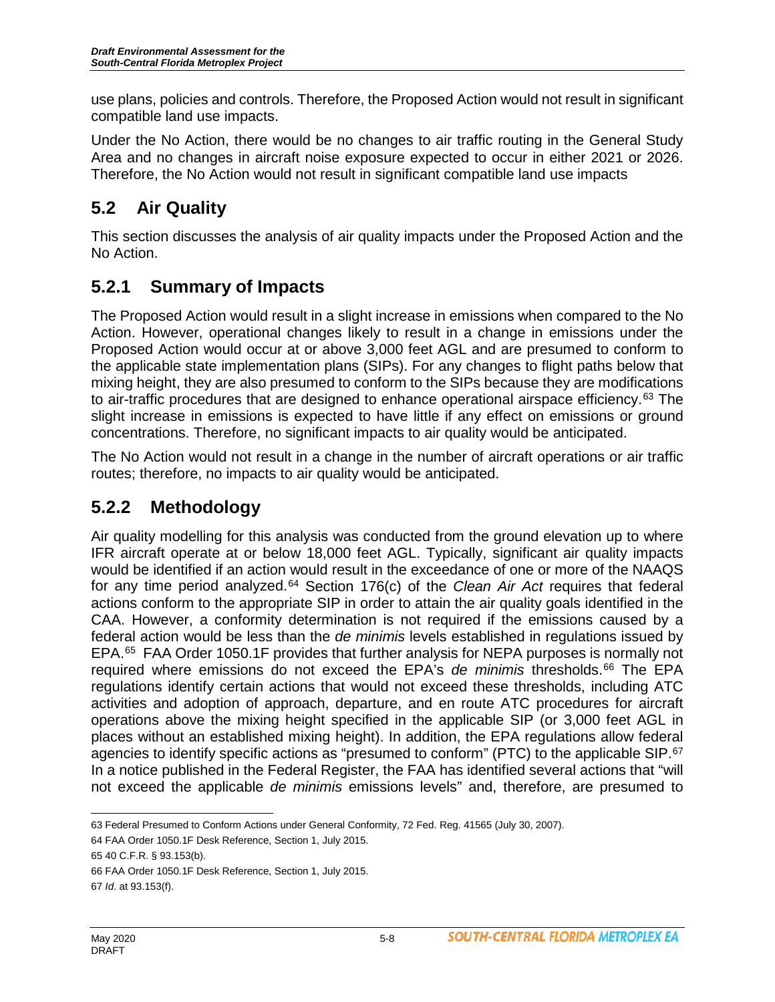use plans, policies and controls. Therefore, the Proposed Action would not result in significant compatible land use impacts.

Under the No Action, there would be no changes to air traffic routing in the General Study Area and no changes in aircraft noise exposure expected to occur in either 2021 or 2026. Therefore, the No Action would not result in significant compatible land use impacts

# **5.2 Air Quality**

This section discusses the analysis of air quality impacts under the Proposed Action and the No Action.

# **5.2.1 Summary of Impacts**

The Proposed Action would result in a slight increase in emissions when compared to the No Action. However, operational changes likely to result in a change in emissions under the Proposed Action would occur at or above 3,000 feet AGL and are presumed to conform to the applicable state implementation plans (SIPs). For any changes to flight paths below that mixing height, they are also presumed to conform to the SIPs because they are modifications to air-traffic procedures that are designed to enhance operational airspace efficiency.<sup>[63](#page-7-0)</sup> The slight increase in emissions is expected to have little if any effect on emissions or ground concentrations. Therefore, no significant impacts to air quality would be anticipated.

The No Action would not result in a change in the number of aircraft operations or air traffic routes; therefore, no impacts to air quality would be anticipated.

# **5.2.2 Methodology**

Air quality modelling for this analysis was conducted from the ground elevation up to where IFR aircraft operate at or below 18,000 feet AGL. Typically, significant air quality impacts would be identified if an action would result in the exceedance of one or more of the NAAQS for any time period analyzed.[64](#page-7-1) Section 176(c) of the *Clean Air Act* requires that federal actions conform to the appropriate SIP in order to attain the air quality goals identified in the CAA. However, a conformity determination is not required if the emissions caused by a federal action would be less than the *de minimis* levels established in regulations issued by EPA.[65](#page-7-2) FAA Order 1050.1F provides that further analysis for NEPA purposes is normally not required where emissions do not exceed the EPA's *de minimis* thresholds.[66](#page-7-3) The EPA regulations identify certain actions that would not exceed these thresholds, including ATC activities and adoption of approach, departure, and en route ATC procedures for aircraft operations above the mixing height specified in the applicable SIP (or 3,000 feet AGL in places without an established mixing height). In addition, the EPA regulations allow federal agencies to identify specific actions as "presumed to conform" (PTC) to the applicable SIP.<sup>[67](#page-7-4)</sup> In a notice published in the Federal Register, the FAA has identified several actions that "will not exceed the applicable *de minimis* emissions levels" and, therefore, are presumed to

 $\overline{a}$ 63 Federal Presumed to Conform Actions under General Conformity, 72 Fed. Reg. 41565 (July 30, 2007).

<span id="page-7-1"></span><span id="page-7-0"></span><sup>64</sup> FAA Order 1050.1F Desk Reference, Section 1, July 2015.

<span id="page-7-2"></span><sup>65</sup> 40 C.F.R. § 93.153(b).

<span id="page-7-3"></span><sup>66</sup> FAA Order 1050.1F Desk Reference, Section 1, July 2015.

<span id="page-7-4"></span><sup>67</sup> *Id*. at 93.153(f).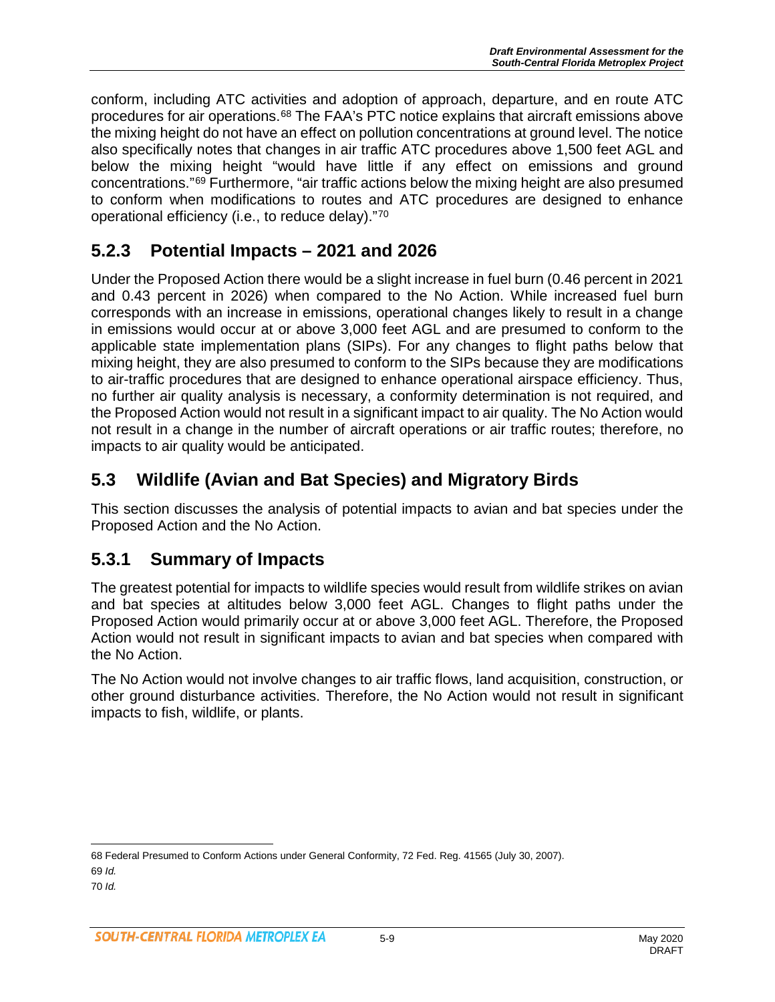conform, including ATC activities and adoption of approach, departure, and en route ATC procedures for air operations.[68](#page-8-0) The FAA's PTC notice explains that aircraft emissions above the mixing height do not have an effect on pollution concentrations at ground level. The notice also specifically notes that changes in air traffic ATC procedures above 1,500 feet AGL and below the mixing height "would have little if any effect on emissions and ground concentrations."[69](#page-8-1) Furthermore, "air traffic actions below the mixing height are also presumed to conform when modifications to routes and ATC procedures are designed to enhance operational efficiency (i.e., to reduce delay)."[70](#page-8-2)

## **5.2.3 Potential Impacts – 2021 and 2026**

Under the Proposed Action there would be a slight increase in fuel burn (0.46 percent in 2021 and 0.43 percent in 2026) when compared to the No Action. While increased fuel burn corresponds with an increase in emissions, operational changes likely to result in a change in emissions would occur at or above 3,000 feet AGL and are presumed to conform to the applicable state implementation plans (SIPs). For any changes to flight paths below that mixing height, they are also presumed to conform to the SIPs because they are modifications to air-traffic procedures that are designed to enhance operational airspace efficiency. Thus, no further air quality analysis is necessary, a conformity determination is not required, and the Proposed Action would not result in a significant impact to air quality. The No Action would not result in a change in the number of aircraft operations or air traffic routes; therefore, no impacts to air quality would be anticipated.

## **5.3 Wildlife (Avian and Bat Species) and Migratory Birds**

This section discusses the analysis of potential impacts to avian and bat species under the Proposed Action and the No Action.

### **5.3.1 Summary of Impacts**

The greatest potential for impacts to wildlife species would result from wildlife strikes on avian and bat species at altitudes below 3,000 feet AGL. Changes to flight paths under the Proposed Action would primarily occur at or above 3,000 feet AGL. Therefore, the Proposed Action would not result in significant impacts to avian and bat species when compared with the No Action.

The No Action would not involve changes to air traffic flows, land acquisition, construction, or other ground disturbance activities. Therefore, the No Action would not result in significant impacts to fish, wildlife, or plants.

<span id="page-8-0"></span> $\overline{a}$ 68 Federal Presumed to Conform Actions under General Conformity, 72 Fed. Reg. 41565 (July 30, 2007). 69 *Id.*

<span id="page-8-2"></span><span id="page-8-1"></span><sup>70</sup> *Id.*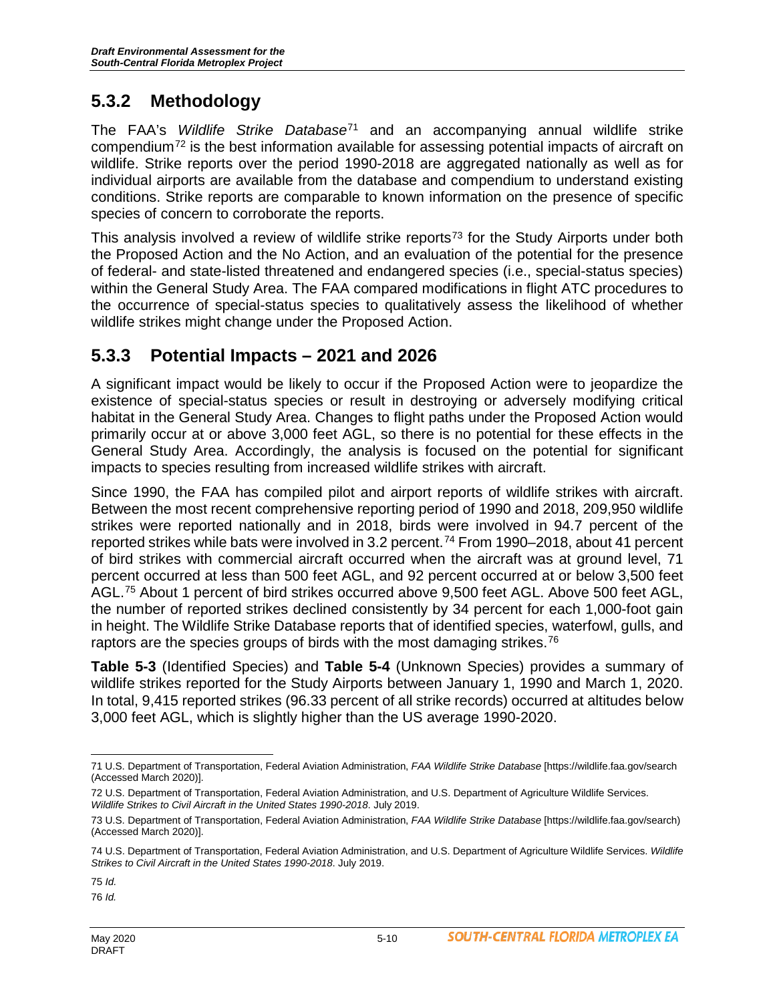## **5.3.2 Methodology**

The FAA's *Wildlife Strike Database*[71](#page-9-0) and an accompanying annual wildlife strike compendium[72](#page-9-1) is the best information available for assessing potential impacts of aircraft on wildlife. Strike reports over the period 1990-2018 are aggregated nationally as well as for individual airports are available from the database and compendium to understand existing conditions. Strike reports are comparable to known information on the presence of specific species of concern to corroborate the reports.

This analysis involved a review of wildlife strike reports<sup>[73](#page-9-2)</sup> for the Study Airports under both the Proposed Action and the No Action, and an evaluation of the potential for the presence of federal- and state-listed threatened and endangered species (i.e., special-status species) within the General Study Area. The FAA compared modifications in flight ATC procedures to the occurrence of special-status species to qualitatively assess the likelihood of whether wildlife strikes might change under the Proposed Action.

#### **5.3.3 Potential Impacts – 2021 and 2026**

A significant impact would be likely to occur if the Proposed Action were to jeopardize the existence of special-status species or result in destroying or adversely modifying critical habitat in the General Study Area. Changes to flight paths under the Proposed Action would primarily occur at or above 3,000 feet AGL, so there is no potential for these effects in the General Study Area. Accordingly, the analysis is focused on the potential for significant impacts to species resulting from increased wildlife strikes with aircraft.

Since 1990, the FAA has compiled pilot and airport reports of wildlife strikes with aircraft. Between the most recent comprehensive reporting period of 1990 and 2018, 209,950 wildlife strikes were reported nationally and in 2018, birds were involved in 94.7 percent of the reported strikes while bats were involved in 3.2 percent.<sup>[74](#page-9-3)</sup> From 1990–2018, about 41 percent of bird strikes with commercial aircraft occurred when the aircraft was at ground level, 71 percent occurred at less than 500 feet AGL, and 92 percent occurred at or below 3,500 feet AGL.[75](#page-9-4) About 1 percent of bird strikes occurred above 9,500 feet AGL. Above 500 feet AGL, the number of reported strikes declined consistently by 34 percent for each 1,000-foot gain in height. The Wildlife Strike Database reports that of identified species, waterfowl, gulls, and raptors are the species groups of birds with the most damaging strikes.<sup>[76](#page-9-5)</sup>

**Table 5-3** (Identified Species) and **Table 5-4** (Unknown Species) provides a summary of wildlife strikes reported for the Study Airports between January 1, 1990 and March 1, 2020. In total, 9,415 reported strikes (96.33 percent of all strike records) occurred at altitudes below 3,000 feet AGL, which is slightly higher than the US average 1990-2020.

<span id="page-9-4"></span>75 *Id.*

<span id="page-9-0"></span> $\overline{a}$ 71 U.S. Department of Transportation, Federal Aviation Administration, *FAA Wildlife Strike Database* [https://wildlife.faa.gov/search (Accessed March 2020)].

<span id="page-9-1"></span><sup>72</sup> U.S. Department of Transportation, Federal Aviation Administration, and U.S. Department of Agriculture Wildlife Services. *Wildlife Strikes to Civil Aircraft in the United States 1990-2018*. July 2019.

<span id="page-9-2"></span><sup>73</sup> U.S. Department of Transportation, Federal Aviation Administration, *FAA Wildlife Strike Database* [https://wildlife.faa.gov/search) (Accessed March 2020)].

<span id="page-9-3"></span><sup>74</sup> U.S. Department of Transportation, Federal Aviation Administration, and U.S. Department of Agriculture Wildlife Services. *Wildlife Strikes to Civil Aircraft in the United States 1990-2018*. July 2019.

<span id="page-9-5"></span><sup>76</sup> *Id.*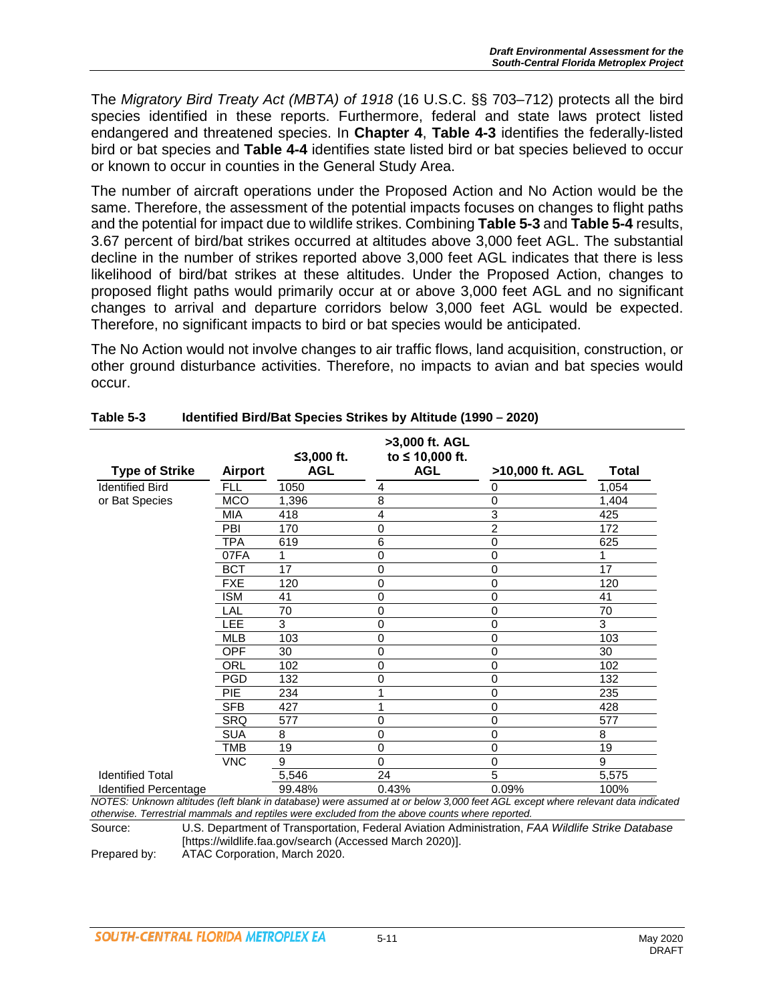The *Migratory Bird Treaty Act (MBTA) of 1918* (16 U.S.C. §§ 703–712) protects all the bird species identified in these reports. Furthermore, federal and state laws protect listed endangered and threatened species. In **Chapter 4**, **Table 4-3** identifies the federally-listed bird or bat species and **Table 4-4** identifies state listed bird or bat species believed to occur or known to occur in counties in the General Study Area.

The number of aircraft operations under the Proposed Action and No Action would be the same. Therefore, the assessment of the potential impacts focuses on changes to flight paths and the potential for impact due to wildlife strikes. Combining **Table 5-3** and **Table 5-4** results, 3.67 percent of bird/bat strikes occurred at altitudes above 3,000 feet AGL. The substantial decline in the number of strikes reported above 3,000 feet AGL indicates that there is less likelihood of bird/bat strikes at these altitudes. Under the Proposed Action, changes to proposed flight paths would primarily occur at or above 3,000 feet AGL and no significant changes to arrival and departure corridors below 3,000 feet AGL would be expected. Therefore, no significant impacts to bird or bat species would be anticipated.

The No Action would not involve changes to air traffic flows, land acquisition, construction, or other ground disturbance activities. Therefore, no impacts to avian and bat species would occur.

| <b>Type of Strike</b>   | <b>Airport</b> | ≤3,000 ft.<br><b>AGL</b> | >3,000 ft. AGL<br>to ≤ 10,000 ft.<br><b>AGL</b> | >10,000 ft. AGL | <b>Total</b> |
|-------------------------|----------------|--------------------------|-------------------------------------------------|-----------------|--------------|
| <b>Identified Bird</b>  | <b>FLL</b>     | 1050                     | 4                                               | 0               | 1,054        |
| or Bat Species          | <b>MCO</b>     | 1,396                    | 8                                               | 0               | 1,404        |
|                         | MIA            | 418                      | 4                                               | 3               | 425          |
|                         | PBI            | 170                      | 0                                               | $\overline{c}$  | 172          |
|                         | TPA            | 619                      | 6                                               | 0               | 625          |
|                         | 07FA           | 1                        | 0                                               | 0               |              |
|                         | <b>BCT</b>     | 17                       | 0                                               | 0               | 17           |
|                         | <b>FXE</b>     | 120                      | 0                                               | 0               | 120          |
|                         | <b>ISM</b>     | 41                       | 0                                               | 0               | 41           |
|                         | LAL            | 70                       | 0                                               | 0               | 70           |
|                         | LEE            | 3                        | 0                                               | 0               | 3            |
|                         | <b>MLB</b>     | 103                      | 0                                               | 0               | 103          |
|                         | OPF            | 30                       | 0                                               | 0               | 30           |
|                         | ORL            | 102                      | 0                                               | 0               | 102          |
|                         | <b>PGD</b>     | 132                      | 0                                               | 0               | 132          |
|                         | <b>PIE</b>     | 234                      |                                                 | 0               | 235          |
|                         | <b>SFB</b>     | 427                      |                                                 | 0               | 428          |
|                         | <b>SRQ</b>     | 577                      | 0                                               | 0               | 577          |
|                         | <b>SUA</b>     | 8                        | 0                                               | 0               | 8            |
|                         | TMB            | 19                       | 0                                               | 0               | 19           |
|                         | <b>VNC</b>     | 9                        | 0                                               | 0               | 9            |
| <b>Identified Total</b> |                | 5,546                    | 24                                              | 5               | 5,575        |
| Identified Percentage   |                | 99.48%                   | 0.43%                                           | 0.09%           | 100%         |

#### **Table 5-3 Identified Bird/Bat Species Strikes by Altitude (1990 – 2020)**

*NOTES: Unknown altitudes (left blank in database) were assumed at or below 3,000 feet AGL except where relevant data indicated otherwise. Terrestrial mammals and reptiles were excluded from the above counts where reported.*

Source: U.S. Department of Transportation, Federal Aviation Administration, *FAA Wildlife Strike Database* [https://wildlife.faa.gov/search (Accessed March 2020)].

Prepared by: ATAC Corporation, March 2020.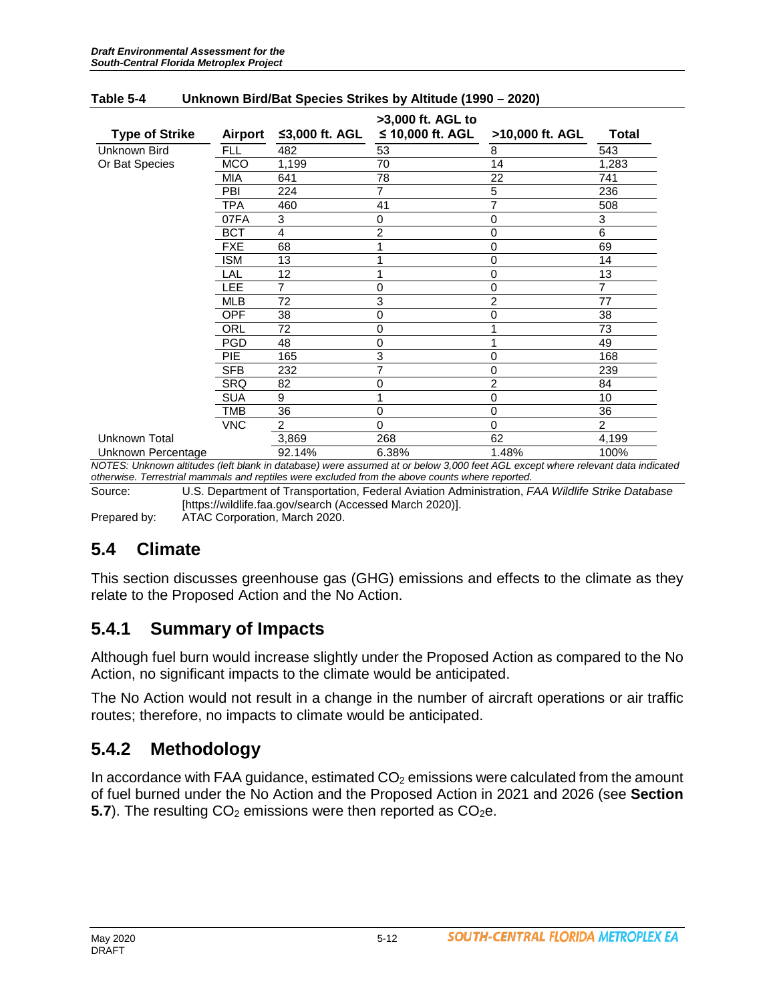| <b>Type of Strike</b> | Airport    | ≤3,000 ft. AGL | >3,000 ft. AGL to<br>≤ 10,000 ft. AGL | >10,000 ft. AGL | <b>Total</b>   |
|-----------------------|------------|----------------|---------------------------------------|-----------------|----------------|
| Unknown Bird          | <b>FLL</b> | 482            | 53                                    | 8               | 543            |
| Or Bat Species        | <b>MCO</b> | 1,199          | 70                                    | 14              | 1,283          |
|                       | <b>MIA</b> | 641            | 78                                    | 22              | 741            |
|                       | PBI        | 224            | 7                                     | 5               | 236            |
|                       | TPA        | 460            | 41                                    | 7               | 508            |
|                       | 07FA       | 3              | 0                                     | $\mathbf 0$     | 3              |
|                       | <b>BCT</b> | 4              | 2                                     | 0               | 6              |
|                       | <b>FXE</b> | 68             |                                       | 0               | 69             |
|                       | <b>ISM</b> | 13             | ◢                                     | $\mathbf 0$     | 14             |
|                       | LAL        | 12             | 4                                     | $\mathbf 0$     | 13             |
|                       | LEE        | 7              | 0                                     | $\mathbf 0$     | 7              |
|                       | <b>MLB</b> | 72             | 3                                     | $\overline{c}$  | 77             |
|                       | <b>OPF</b> | 38             | 0                                     | 0               | 38             |
|                       | ORL        | 72             | 0                                     | 1               | 73             |
|                       | <b>PGD</b> | 48             | 0                                     | 1               | 49             |
|                       | <b>PIE</b> | 165            | 3                                     | 0               | 168            |
|                       | <b>SFB</b> | 232            | 7                                     | 0               | 239            |
|                       | SRQ        | 82             | 0                                     | $\overline{c}$  | 84             |
|                       | <b>SUA</b> | 9              |                                       | 0               | 10             |
|                       | TMB        | 36             | 0                                     | 0               | 36             |
|                       | <b>VNC</b> | $\overline{2}$ | 0                                     | $\mathbf 0$     | $\overline{c}$ |
| Unknown Total         |            | 3,869          | 268                                   | 62              | 4,199          |
| Unknown Percentage    |            | 92.14%         | 6.38%                                 | 1.48%           | 100%           |

#### **Table 5-4 Unknown Bird/Bat Species Strikes by Altitude (1990 – 2020)**

*NOTES: Unknown altitudes (left blank in database) were assumed at or below 3,000 feet AGL except where relevant data indicated otherwise. Terrestrial mammals and reptiles were excluded from the above counts where reported.*

Source: U.S. Department of Transportation, Federal Aviation Administration, *FAA Wildlife Strike Database* [https://wildlife.faa.gov/search (Accessed March 2020)].

Prepared by: ATAC Corporation, March 2020.

#### **5.4 Climate**

This section discusses greenhouse gas (GHG) emissions and effects to the climate as they relate to the Proposed Action and the No Action.

#### **5.4.1 Summary of Impacts**

Although fuel burn would increase slightly under the Proposed Action as compared to the No Action, no significant impacts to the climate would be anticipated.

The No Action would not result in a change in the number of aircraft operations or air traffic routes; therefore, no impacts to climate would be anticipated.

#### **5.4.2 Methodology**

In accordance with FAA guidance, estimated  $CO<sub>2</sub>$  emissions were calculated from the amount of fuel burned under the No Action and the Proposed Action in 2021 and 2026 (see **Section 5.7**). The resulting  $CO<sub>2</sub>$  emissions were then reported as  $CO<sub>2</sub>e$ .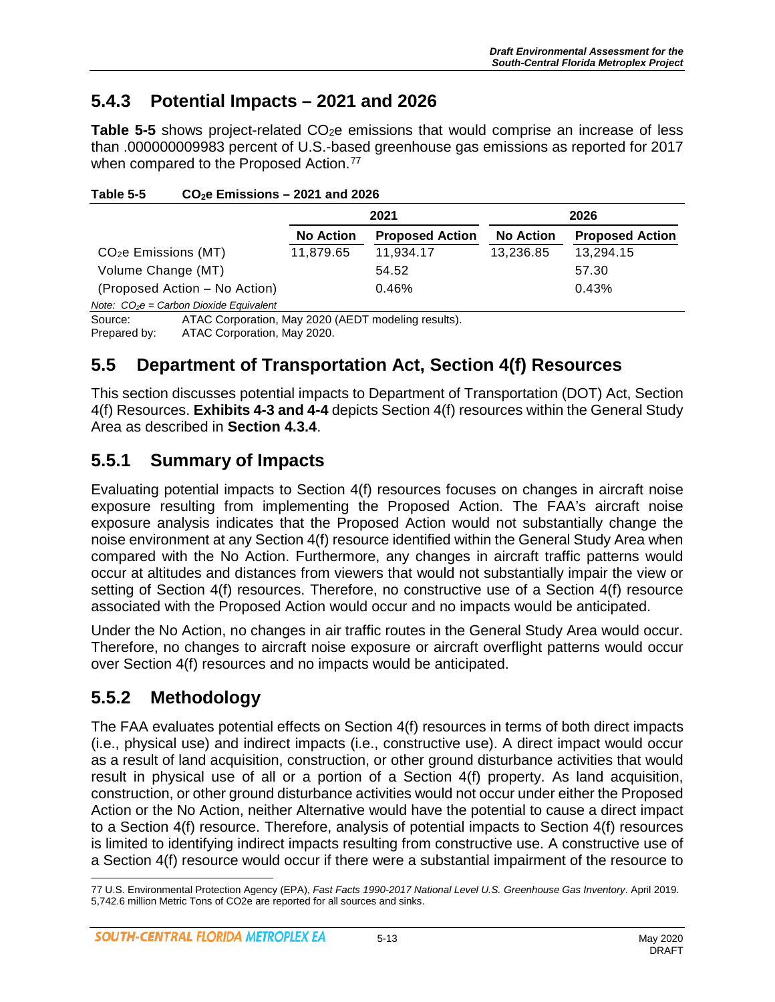#### **5.4.3 Potential Impacts – 2021 and 2026**

**Table 5-5** shows project-related CO<sub>2</sub>e emissions that would comprise an increase of less than .000000009983 percent of U.S.-based greenhouse gas emissions as reported for 2017 when compared to the Proposed Action.<sup>[77](#page-12-0)</sup>

|                                  |                                                     | 2021             |                        | 2026             |                        |  |
|----------------------------------|-----------------------------------------------------|------------------|------------------------|------------------|------------------------|--|
|                                  |                                                     | <b>No Action</b> | <b>Proposed Action</b> | <b>No Action</b> | <b>Proposed Action</b> |  |
| CO <sub>2</sub> e Emissions (MT) |                                                     | 11,879.65        | 11,934.17              | 13,236.85        | 13,294.15              |  |
| Volume Change (MT)               |                                                     |                  | 54.52                  |                  | 57.30                  |  |
|                                  | (Proposed Action – No Action)                       |                  | 0.46%                  |                  | 0.43%                  |  |
|                                  | Note: $CO2e = Carbon Divide Equivalent$             |                  |                        |                  |                        |  |
| Source:                          | ATAC Corporation, May 2020 (AEDT modeling results). |                  |                        |                  |                        |  |
| Prepared by:                     | ATAC Corporation, May 2020.                         |                  |                        |                  |                        |  |

**Table 5-5 CO2e Emissions – 2021 and 2026**

## **5.5 Department of Transportation Act, Section 4(f) Resources**

This section discusses potential impacts to Department of Transportation (DOT) Act, Section 4(f) Resources. **Exhibits 4-3 and 4-4** depicts Section 4(f) resources within the General Study Area as described in **Section 4.3.4**.

### **5.5.1 Summary of Impacts**

Evaluating potential impacts to Section 4(f) resources focuses on changes in aircraft noise exposure resulting from implementing the Proposed Action. The FAA's aircraft noise exposure analysis indicates that the Proposed Action would not substantially change the noise environment at any Section 4(f) resource identified within the General Study Area when compared with the No Action. Furthermore, any changes in aircraft traffic patterns would occur at altitudes and distances from viewers that would not substantially impair the view or setting of Section 4(f) resources. Therefore, no constructive use of a Section 4(f) resource associated with the Proposed Action would occur and no impacts would be anticipated.

Under the No Action, no changes in air traffic routes in the General Study Area would occur. Therefore, no changes to aircraft noise exposure or aircraft overflight patterns would occur over Section 4(f) resources and no impacts would be anticipated.

### **5.5.2 Methodology**

The FAA evaluates potential effects on Section 4(f) resources in terms of both direct impacts (i.e., physical use) and indirect impacts (i.e., constructive use). A direct impact would occur as a result of land acquisition, construction, or other ground disturbance activities that would result in physical use of all or a portion of a Section 4(f) property. As land acquisition, construction, or other ground disturbance activities would not occur under either the Proposed Action or the No Action, neither Alternative would have the potential to cause a direct impact to a Section 4(f) resource. Therefore, analysis of potential impacts to Section 4(f) resources is limited to identifying indirect impacts resulting from constructive use. A constructive use of a Section 4(f) resource would occur if there were a substantial impairment of the resource to

<span id="page-12-0"></span> $\overline{a}$ 77 U.S. Environmental Protection Agency (EPA), *Fast Facts 1990-2017 National Level U.S. Greenhouse Gas Inventory*. April 2019. 5,742.6 million Metric Tons of CO2e are reported for all sources and sinks.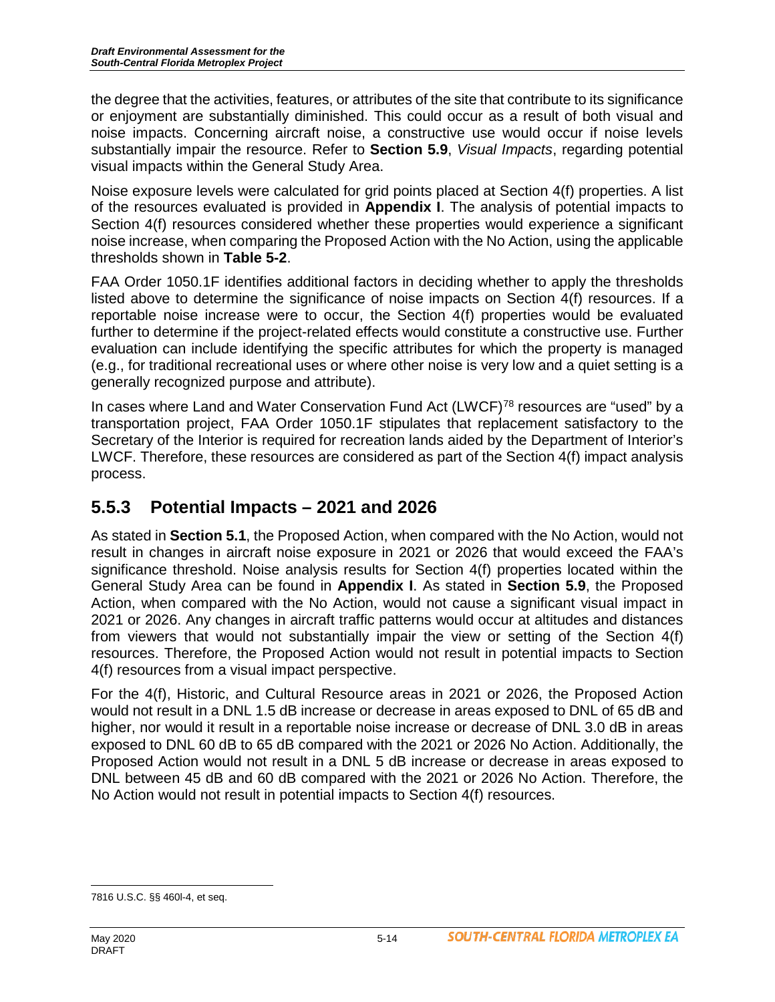the degree that the activities, features, or attributes of the site that contribute to its significance or enjoyment are substantially diminished. This could occur as a result of both visual and noise impacts. Concerning aircraft noise, a constructive use would occur if noise levels substantially impair the resource. Refer to **Section 5.9**, *Visual Impacts*, regarding potential visual impacts within the General Study Area.

Noise exposure levels were calculated for grid points placed at Section 4(f) properties. A list of the resources evaluated is provided in **Appendix I**. The analysis of potential impacts to Section 4(f) resources considered whether these properties would experience a significant noise increase, when comparing the Proposed Action with the No Action, using the applicable thresholds shown in **Table 5-2**.

FAA Order 1050.1F identifies additional factors in deciding whether to apply the thresholds listed above to determine the significance of noise impacts on Section 4(f) resources. If a reportable noise increase were to occur, the Section 4(f) properties would be evaluated further to determine if the project-related effects would constitute a constructive use. Further evaluation can include identifying the specific attributes for which the property is managed (e.g., for traditional recreational uses or where other noise is very low and a quiet setting is a generally recognized purpose and attribute).

In cases where Land and Water Conservation Fund Act (LWCF)<sup>[78](#page-13-0)</sup> resources are "used" by a transportation project, FAA Order 1050.1F stipulates that replacement satisfactory to the Secretary of the Interior is required for recreation lands aided by the Department of Interior's LWCF. Therefore, these resources are considered as part of the Section 4(f) impact analysis process.

# **5.5.3 Potential Impacts – 2021 and 2026**

As stated in **Section 5.1**, the Proposed Action, when compared with the No Action, would not result in changes in aircraft noise exposure in 2021 or 2026 that would exceed the FAA's significance threshold. Noise analysis results for Section 4(f) properties located within the General Study Area can be found in **Appendix I**. As stated in **Section 5.9**, the Proposed Action, when compared with the No Action, would not cause a significant visual impact in 2021 or 2026. Any changes in aircraft traffic patterns would occur at altitudes and distances from viewers that would not substantially impair the view or setting of the Section 4(f) resources. Therefore, the Proposed Action would not result in potential impacts to Section 4(f) resources from a visual impact perspective.

For the 4(f), Historic, and Cultural Resource areas in 2021 or 2026, the Proposed Action would not result in a DNL 1.5 dB increase or decrease in areas exposed to DNL of 65 dB and higher, nor would it result in a reportable noise increase or decrease of DNL 3.0 dB in areas exposed to DNL 60 dB to 65 dB compared with the 2021 or 2026 No Action. Additionally, the Proposed Action would not result in a DNL 5 dB increase or decrease in areas exposed to DNL between 45 dB and 60 dB compared with the 2021 or 2026 No Action. Therefore, the No Action would not result in potential impacts to Section 4(f) resources.

<span id="page-13-0"></span> $\overline{a}$ 7816 U.S.C. §§ 460l-4, et seq.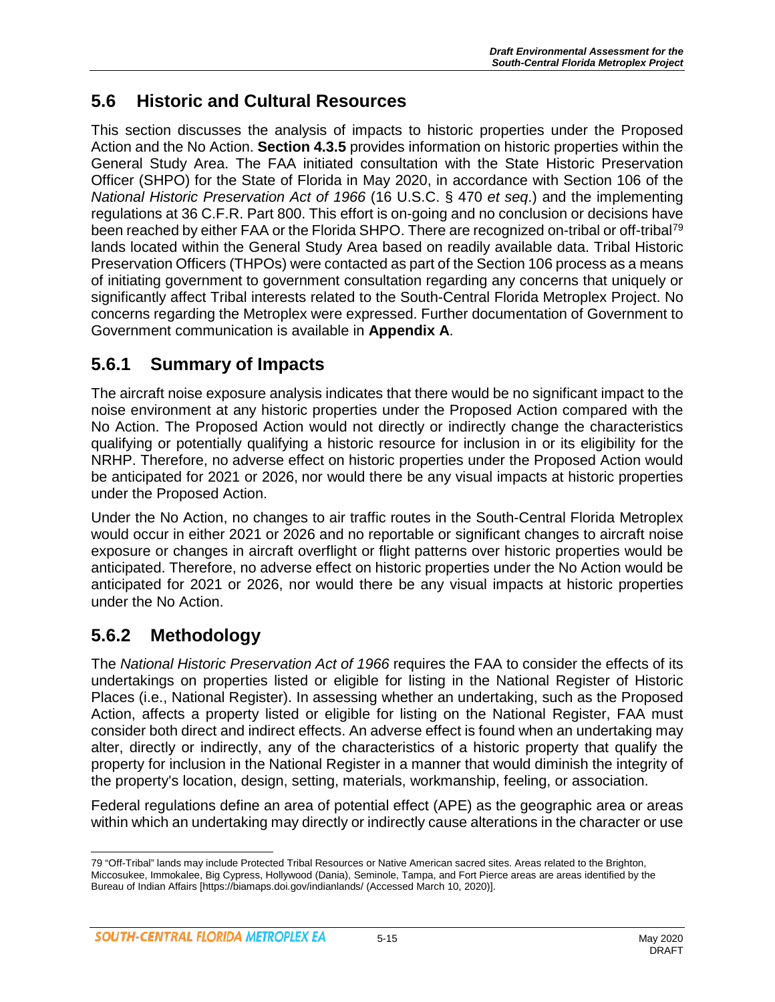#### **5.6 Historic and Cultural Resources**

This section discusses the analysis of impacts to historic properties under the Proposed Action and the No Action. **Section 4.3.5** provides information on historic properties within the General Study Area. The FAA initiated consultation with the State Historic Preservation Officer (SHPO) for the State of Florida in May 2020, in accordance with Section 106 of the *National Historic Preservation Act of 1966* (16 U.S.C. § 470 *et seq*.) and the implementing regulations at 36 C.F.R. Part 800. This effort is on-going and no conclusion or decisions have been reached by either FAA or the Florida SHPO. There are recognized on-tribal or off-tribal<sup>[79](#page-14-0)</sup> lands located within the General Study Area based on readily available data. Tribal Historic Preservation Officers (THPOs) were contacted as part of the Section 106 process as a means of initiating government to government consultation regarding any concerns that uniquely or significantly affect Tribal interests related to the South-Central Florida Metroplex Project. No concerns regarding the Metroplex were expressed. Further documentation of Government to Government communication is available in **Appendix A**.

#### **5.6.1 Summary of Impacts**

The aircraft noise exposure analysis indicates that there would be no significant impact to the noise environment at any historic properties under the Proposed Action compared with the No Action. The Proposed Action would not directly or indirectly change the characteristics qualifying or potentially qualifying a historic resource for inclusion in or its eligibility for the NRHP. Therefore, no adverse effect on historic properties under the Proposed Action would be anticipated for 2021 or 2026, nor would there be any visual impacts at historic properties under the Proposed Action.

Under the No Action, no changes to air traffic routes in the South-Central Florida Metroplex would occur in either 2021 or 2026 and no reportable or significant changes to aircraft noise exposure or changes in aircraft overflight or flight patterns over historic properties would be anticipated. Therefore, no adverse effect on historic properties under the No Action would be anticipated for 2021 or 2026, nor would there be any visual impacts at historic properties under the No Action.

### **5.6.2 Methodology**

The *National Historic Preservation Act of 1966* requires the FAA to consider the effects of its undertakings on properties listed or eligible for listing in the National Register of Historic Places (i.e., National Register). In assessing whether an undertaking, such as the Proposed Action, affects a property listed or eligible for listing on the National Register, FAA must consider both direct and indirect effects. An adverse effect is found when an undertaking may alter, directly or indirectly, any of the characteristics of a historic property that qualify the property for inclusion in the National Register in a manner that would diminish the integrity of the property's location, design, setting, materials, workmanship, feeling, or association.

Federal regulations define an area of potential effect (APE) as the geographic area or areas within which an undertaking may directly or indirectly cause alterations in the character or use

<span id="page-14-0"></span> $\overline{a}$ 79 "Off-Tribal" lands may include Protected Tribal Resources or Native American sacred sites. Areas related to the Brighton, Miccosukee, Immokalee, Big Cypress, Hollywood (Dania), Seminole, Tampa, and Fort Pierce areas are areas identified by the Bureau of Indian Affairs [https://biamaps.doi.gov/indianlands/ (Accessed March 10, 2020)].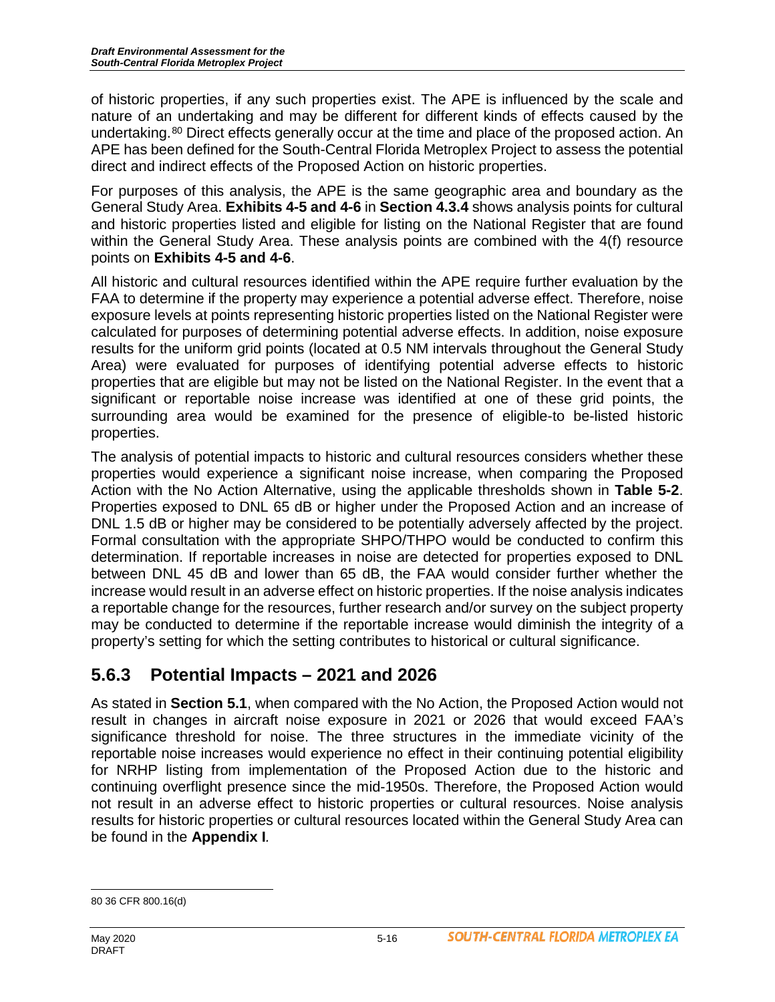of historic properties, if any such properties exist. The APE is influenced by the scale and nature of an undertaking and may be different for different kinds of effects caused by the undertaking.<sup>[80](#page-15-0)</sup> Direct effects generally occur at the time and place of the proposed action. An APE has been defined for the South-Central Florida Metroplex Project to assess the potential direct and indirect effects of the Proposed Action on historic properties.

For purposes of this analysis, the APE is the same geographic area and boundary as the General Study Area. **Exhibits 4-5 and 4-6** in **Section 4.3.4** shows analysis points for cultural and historic properties listed and eligible for listing on the National Register that are found within the General Study Area. These analysis points are combined with the 4(f) resource points on **Exhibits 4-5 and 4-6**.

All historic and cultural resources identified within the APE require further evaluation by the FAA to determine if the property may experience a potential adverse effect. Therefore, noise exposure levels at points representing historic properties listed on the National Register were calculated for purposes of determining potential adverse effects. In addition, noise exposure results for the uniform grid points (located at 0.5 NM intervals throughout the General Study Area) were evaluated for purposes of identifying potential adverse effects to historic properties that are eligible but may not be listed on the National Register. In the event that a significant or reportable noise increase was identified at one of these grid points, the surrounding area would be examined for the presence of eligible-to be-listed historic properties.

The analysis of potential impacts to historic and cultural resources considers whether these properties would experience a significant noise increase, when comparing the Proposed Action with the No Action Alternative, using the applicable thresholds shown in **Table 5-2**. Properties exposed to DNL 65 dB or higher under the Proposed Action and an increase of DNL 1.5 dB or higher may be considered to be potentially adversely affected by the project. Formal consultation with the appropriate SHPO/THPO would be conducted to confirm this determination. If reportable increases in noise are detected for properties exposed to DNL between DNL 45 dB and lower than 65 dB, the FAA would consider further whether the increase would result in an adverse effect on historic properties. If the noise analysis indicates a reportable change for the resources, further research and/or survey on the subject property may be conducted to determine if the reportable increase would diminish the integrity of a property's setting for which the setting contributes to historical or cultural significance.

# **5.6.3 Potential Impacts – 2021 and 2026**

As stated in **Section 5.1**, when compared with the No Action, the Proposed Action would not result in changes in aircraft noise exposure in 2021 or 2026 that would exceed FAA's significance threshold for noise. The three structures in the immediate vicinity of the reportable noise increases would experience no effect in their continuing potential eligibility for NRHP listing from implementation of the Proposed Action due to the historic and continuing overflight presence since the mid-1950s. Therefore, the Proposed Action would not result in an adverse effect to historic properties or cultural resources. Noise analysis results for historic properties or cultural resources located within the General Study Area can be found in the **Appendix I***.*

<span id="page-15-0"></span> $\overline{a}$ 80 36 CFR 800.16(d)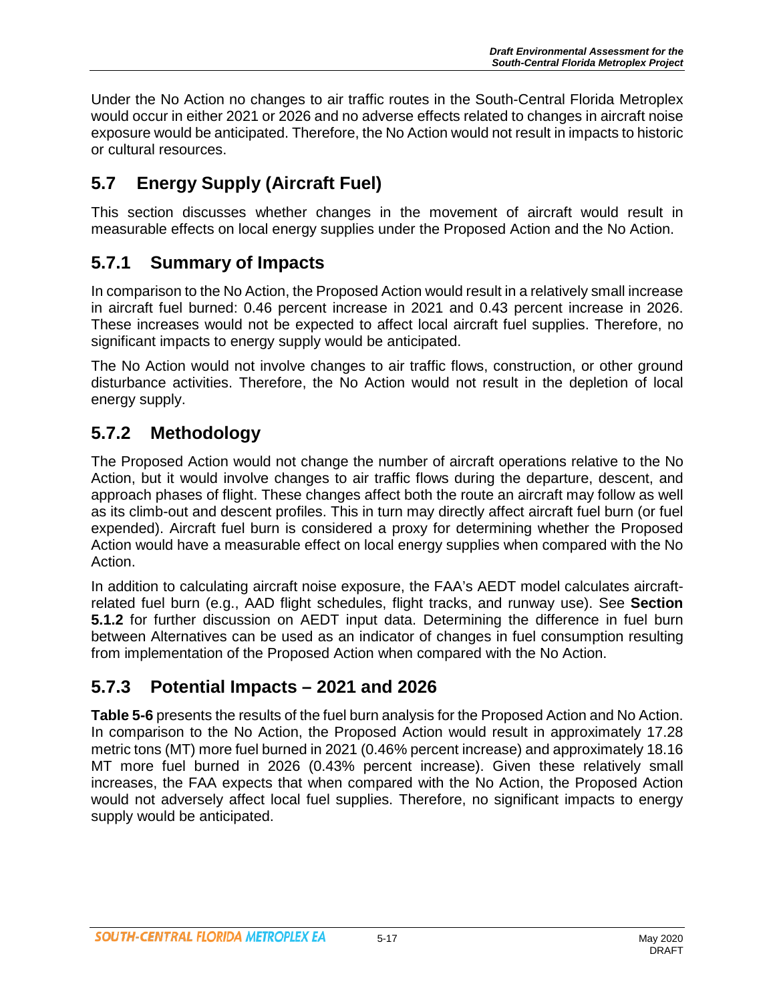Under the No Action no changes to air traffic routes in the South-Central Florida Metroplex would occur in either 2021 or 2026 and no adverse effects related to changes in aircraft noise exposure would be anticipated. Therefore, the No Action would not result in impacts to historic or cultural resources.

# **5.7 Energy Supply (Aircraft Fuel)**

This section discusses whether changes in the movement of aircraft would result in measurable effects on local energy supplies under the Proposed Action and the No Action.

### **5.7.1 Summary of Impacts**

In comparison to the No Action, the Proposed Action would result in a relatively small increase in aircraft fuel burned: 0.46 percent increase in 2021 and 0.43 percent increase in 2026. These increases would not be expected to affect local aircraft fuel supplies. Therefore, no significant impacts to energy supply would be anticipated.

The No Action would not involve changes to air traffic flows, construction, or other ground disturbance activities. Therefore, the No Action would not result in the depletion of local energy supply.

## **5.7.2 Methodology**

The Proposed Action would not change the number of aircraft operations relative to the No Action, but it would involve changes to air traffic flows during the departure, descent, and approach phases of flight. These changes affect both the route an aircraft may follow as well as its climb-out and descent profiles. This in turn may directly affect aircraft fuel burn (or fuel expended). Aircraft fuel burn is considered a proxy for determining whether the Proposed Action would have a measurable effect on local energy supplies when compared with the No Action.

In addition to calculating aircraft noise exposure, the FAA's AEDT model calculates aircraftrelated fuel burn (e.g., AAD flight schedules, flight tracks, and runway use). See **Section 5.1.2** for further discussion on AEDT input data. Determining the difference in fuel burn between Alternatives can be used as an indicator of changes in fuel consumption resulting from implementation of the Proposed Action when compared with the No Action.

### **5.7.3 Potential Impacts – 2021 and 2026**

**Table 5-6** presents the results of the fuel burn analysis for the Proposed Action and No Action. In comparison to the No Action, the Proposed Action would result in approximately 17.28 metric tons (MT) more fuel burned in 2021 (0.46% percent increase) and approximately 18.16 MT more fuel burned in 2026 (0.43% percent increase). Given these relatively small increases, the FAA expects that when compared with the No Action, the Proposed Action would not adversely affect local fuel supplies. Therefore, no significant impacts to energy supply would be anticipated.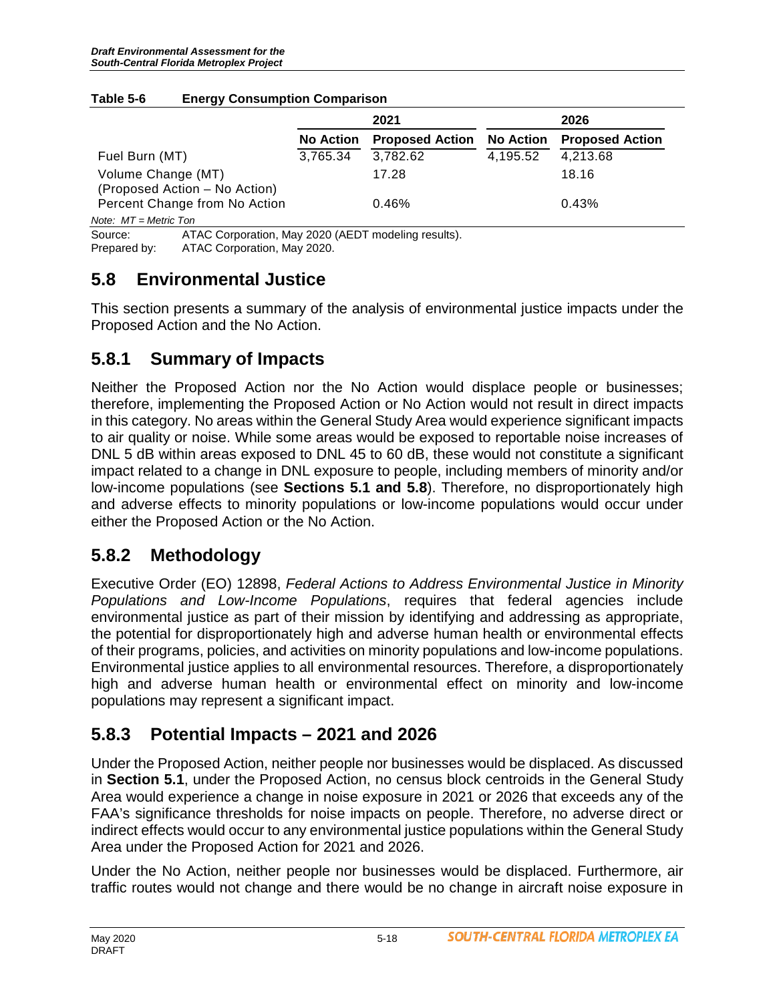|                               | 2021             |                        | 2026             |                        |  |
|-------------------------------|------------------|------------------------|------------------|------------------------|--|
|                               | <b>No Action</b> | <b>Proposed Action</b> | <b>No Action</b> | <b>Proposed Action</b> |  |
| Fuel Burn (MT)                | 3,765.34         | 3,782.62               | 4.195.52         | 4.213.68               |  |
| Volume Change (MT)            |                  | 17.28                  |                  | 18.16                  |  |
| (Proposed Action – No Action) |                  |                        |                  |                        |  |
| Percent Change from No Action |                  | 0.46%                  |                  | 0.43%                  |  |
| Note: $MT = Metric$ Ton       |                  |                        |                  |                        |  |

#### **Table 5-6 Energy Consumption Comparison**

Source: ATAC Corporation, May 2020 (AEDT modeling results).<br>Prepared by: ATAC Corporation. May 2020. ATAC Corporation, May 2020.

## **5.8 Environmental Justice**

This section presents a summary of the analysis of environmental justice impacts under the Proposed Action and the No Action.

### **5.8.1 Summary of Impacts**

Neither the Proposed Action nor the No Action would displace people or businesses; therefore, implementing the Proposed Action or No Action would not result in direct impacts in this category. No areas within the General Study Area would experience significant impacts to air quality or noise. While some areas would be exposed to reportable noise increases of DNL 5 dB within areas exposed to DNL 45 to 60 dB, these would not constitute a significant impact related to a change in DNL exposure to people, including members of minority and/or low-income populations (see **Sections 5.1 and 5.8**). Therefore, no disproportionately high and adverse effects to minority populations or low-income populations would occur under either the Proposed Action or the No Action.

### **5.8.2 Methodology**

Executive Order (EO) 12898, *Federal Actions to Address Environmental Justice in Minority Populations and Low-Income Populations*, requires that federal agencies include environmental justice as part of their mission by identifying and addressing as appropriate, the potential for disproportionately high and adverse human health or environmental effects of their programs, policies, and activities on minority populations and low-income populations. Environmental justice applies to all environmental resources. Therefore, a disproportionately high and adverse human health or environmental effect on minority and low-income populations may represent a significant impact.

# **5.8.3 Potential Impacts – 2021 and 2026**

Under the Proposed Action, neither people nor businesses would be displaced. As discussed in **Section 5.1**, under the Proposed Action, no census block centroids in the General Study Area would experience a change in noise exposure in 2021 or 2026 that exceeds any of the FAA's significance thresholds for noise impacts on people. Therefore, no adverse direct or indirect effects would occur to any environmental justice populations within the General Study Area under the Proposed Action for 2021 and 2026.

Under the No Action, neither people nor businesses would be displaced. Furthermore, air traffic routes would not change and there would be no change in aircraft noise exposure in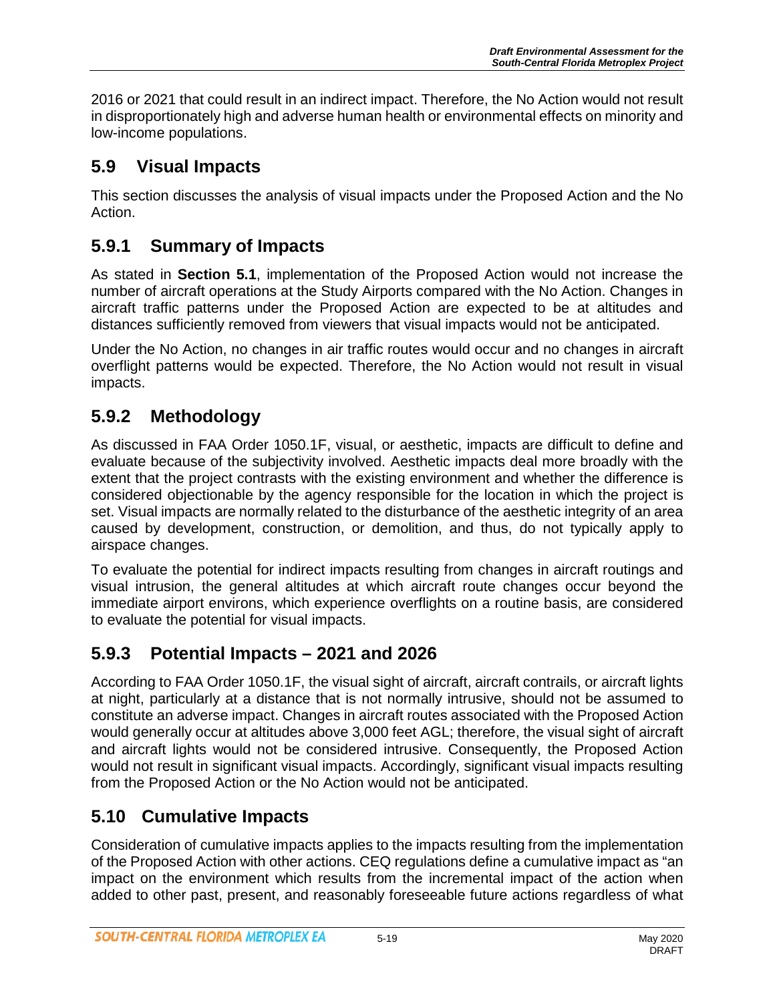2016 or 2021 that could result in an indirect impact. Therefore, the No Action would not result in disproportionately high and adverse human health or environmental effects on minority and low-income populations.

### **5.9 Visual Impacts**

This section discusses the analysis of visual impacts under the Proposed Action and the No Action.

## **5.9.1 Summary of Impacts**

As stated in **Section 5.1**, implementation of the Proposed Action would not increase the number of aircraft operations at the Study Airports compared with the No Action. Changes in aircraft traffic patterns under the Proposed Action are expected to be at altitudes and distances sufficiently removed from viewers that visual impacts would not be anticipated.

Under the No Action, no changes in air traffic routes would occur and no changes in aircraft overflight patterns would be expected. Therefore, the No Action would not result in visual impacts.

# **5.9.2 Methodology**

As discussed in FAA Order 1050.1F, visual, or aesthetic, impacts are difficult to define and evaluate because of the subjectivity involved. Aesthetic impacts deal more broadly with the extent that the project contrasts with the existing environment and whether the difference is considered objectionable by the agency responsible for the location in which the project is set. Visual impacts are normally related to the disturbance of the aesthetic integrity of an area caused by development, construction, or demolition, and thus, do not typically apply to airspace changes.

To evaluate the potential for indirect impacts resulting from changes in aircraft routings and visual intrusion, the general altitudes at which aircraft route changes occur beyond the immediate airport environs, which experience overflights on a routine basis, are considered to evaluate the potential for visual impacts.

# **5.9.3 Potential Impacts – 2021 and 2026**

According to FAA Order 1050.1F, the visual sight of aircraft, aircraft contrails, or aircraft lights at night, particularly at a distance that is not normally intrusive, should not be assumed to constitute an adverse impact. Changes in aircraft routes associated with the Proposed Action would generally occur at altitudes above 3,000 feet AGL; therefore, the visual sight of aircraft and aircraft lights would not be considered intrusive. Consequently, the Proposed Action would not result in significant visual impacts. Accordingly, significant visual impacts resulting from the Proposed Action or the No Action would not be anticipated.

# **5.10 Cumulative Impacts**

Consideration of cumulative impacts applies to the impacts resulting from the implementation of the Proposed Action with other actions. CEQ regulations define a cumulative impact as "an impact on the environment which results from the incremental impact of the action when added to other past, present, and reasonably foreseeable future actions regardless of what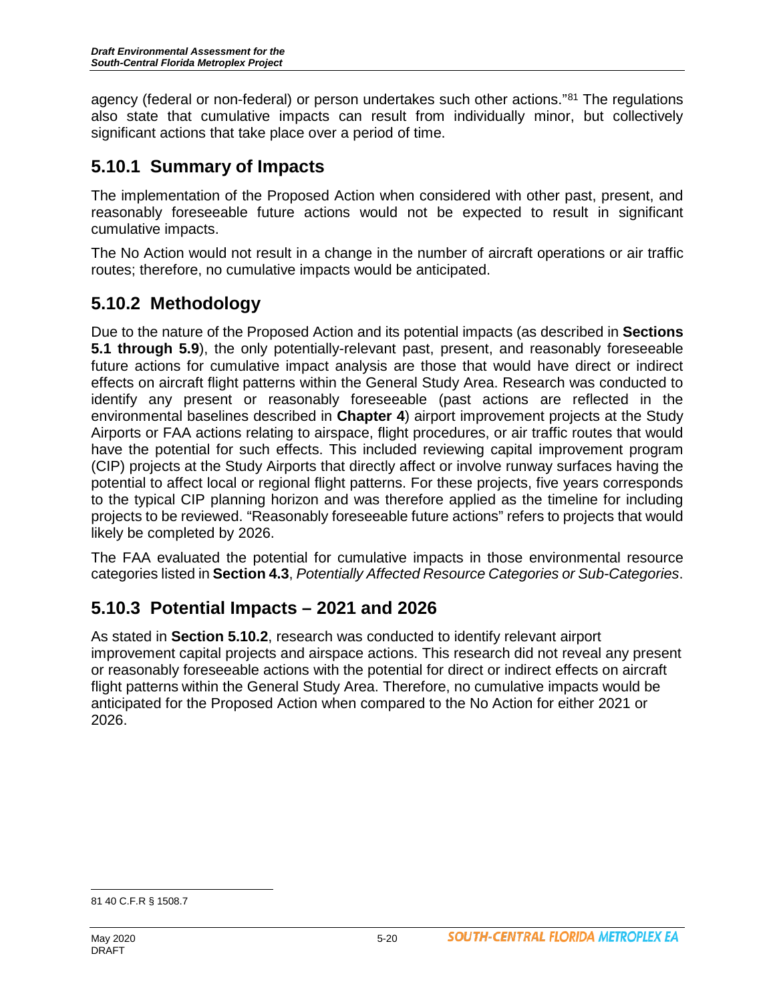agency (federal or non-federal) or person undertakes such other actions."[81](#page-19-0) The regulations also state that cumulative impacts can result from individually minor, but collectively significant actions that take place over a period of time.

### **5.10.1 Summary of Impacts**

The implementation of the Proposed Action when considered with other past, present, and reasonably foreseeable future actions would not be expected to result in significant cumulative impacts.

The No Action would not result in a change in the number of aircraft operations or air traffic routes; therefore, no cumulative impacts would be anticipated.

## **5.10.2 Methodology**

Due to the nature of the Proposed Action and its potential impacts (as described in **Sections 5.1 through 5.9**), the only potentially-relevant past, present, and reasonably foreseeable future actions for cumulative impact analysis are those that would have direct or indirect effects on aircraft flight patterns within the General Study Area. Research was conducted to identify any present or reasonably foreseeable (past actions are reflected in the environmental baselines described in **Chapter 4**) airport improvement projects at the Study Airports or FAA actions relating to airspace, flight procedures, or air traffic routes that would have the potential for such effects. This included reviewing capital improvement program (CIP) projects at the Study Airports that directly affect or involve runway surfaces having the potential to affect local or regional flight patterns. For these projects, five years corresponds to the typical CIP planning horizon and was therefore applied as the timeline for including projects to be reviewed. "Reasonably foreseeable future actions" refers to projects that would likely be completed by 2026.

The FAA evaluated the potential for cumulative impacts in those environmental resource categories listed in **Section 4.3**, *Potentially Affected Resource Categories or Sub-Categories*.

### **5.10.3 Potential Impacts – 2021 and 2026**

As stated in **Section 5.10.2**, research was conducted to identify relevant airport improvement capital projects and airspace actions. This research did not reveal any present or reasonably foreseeable actions with the potential for direct or indirect effects on aircraft flight patterns within the General Study Area. Therefore, no cumulative impacts would be anticipated for the Proposed Action when compared to the No Action for either 2021 or 2026.

<span id="page-19-0"></span> $\overline{a}$ 81 40 C.F.R § 1508.7